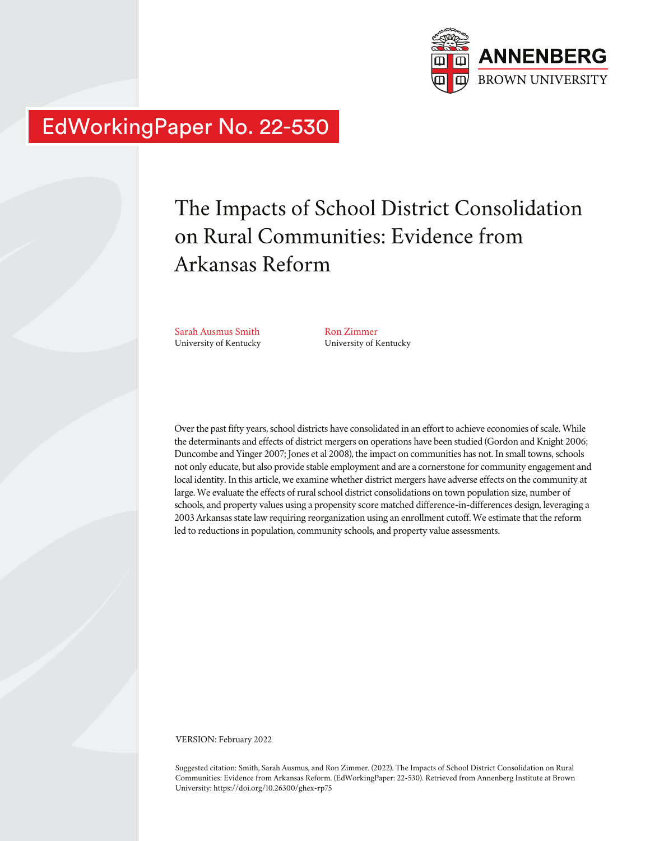

# EdWorkingPaper No. 22-530

# The Impacts of School District Consolidation on Rural Communities: Evidence from Arkansas Reform

Sarah Ausmus Smith University of Kentucky

Ron Zimmer University of Kentucky

Over the past fifty years, school districts have consolidated in an effort to achieve economies of scale. While the determinants and effects of district mergers on operations have been studied (Gordon and Knight 2006; Duncombe and Yinger 2007; Jones et al 2008), the impact on communities has not. In small towns, schools not only educate, but also provide stable employment and are a cornerstone for community engagement and local identity. In this article, we examine whether district mergers have adverse effects on the community at large. We evaluate the effects of rural school district consolidations on town population size, number of schools, and property values using a propensity score matched difference-in-differences design, leveraging a 2003 Arkansas state law requiring reorganization using an enrollment cutoff. We estimate that the reform led to reductions in population, community schools, and property value assessments.

VERSION: February 2022

Suggested citation: Smith, Sarah Ausmus, and Ron Zimmer. (2022). The Impacts of School District Consolidation on Rural Communities: Evidence from Arkansas Reform. (EdWorkingPaper: 22-530). Retrieved from Annenberg Institute at Brown University: https://doi.org/10.26300/ghex-rp75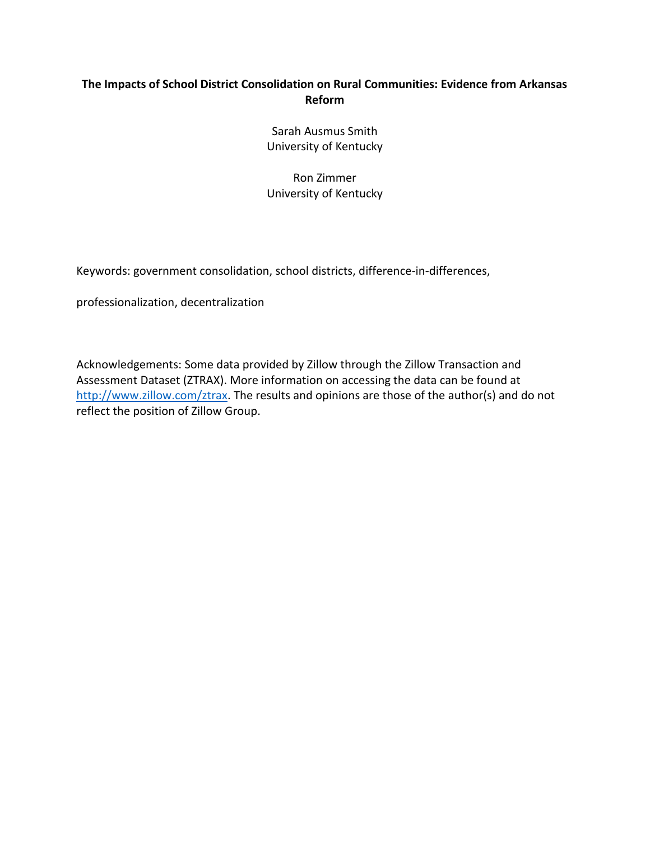# **The Impacts of School District Consolidation on Rural Communities: Evidence from Arkansas Reform**

Sarah Ausmus Smith University of Kentucky

Ron Zimmer University of Kentucky

Keywords: government consolidation, school districts, difference-in-differences,

professionalization, decentralization

Acknowledgements: Some data provided by Zillow through the Zillow Transaction and Assessment Dataset (ZTRAX). More information on accessing the data can be found at [http://www.zillow.com/ztrax.](http://www.zillow.com/ztrax) The results and opinions are those of the author(s) and do not reflect the position of Zillow Group.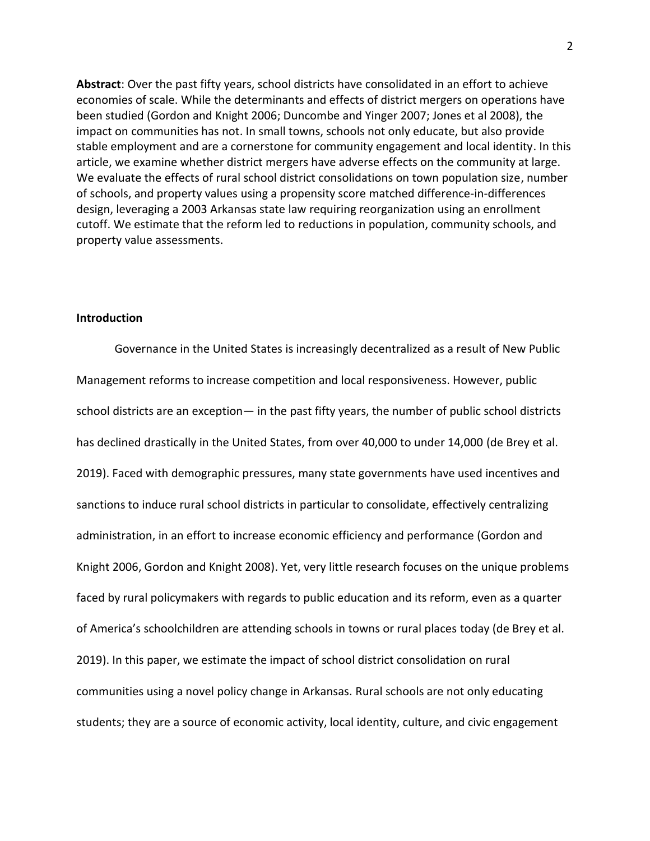**Abstract**: Over the past fifty years, school districts have consolidated in an effort to achieve economies of scale. While the determinants and effects of district mergers on operations have been studied (Gordon and Knight 2006; Duncombe and Yinger 2007; Jones et al 2008), the impact on communities has not. In small towns, schools not only educate, but also provide stable employment and are a cornerstone for community engagement and local identity. In this article, we examine whether district mergers have adverse effects on the community at large. We evaluate the effects of rural school district consolidations on town population size, number of schools, and property values using a propensity score matched difference-in-differences design, leveraging a 2003 Arkansas state law requiring reorganization using an enrollment cutoff. We estimate that the reform led to reductions in population, community schools, and property value assessments.

#### **Introduction**

Governance in the United States is increasingly decentralized as a result of New Public Management reforms to increase competition and local responsiveness. However, public school districts are an exception— in the past fifty years, the number of public school districts has declined drastically in the United States, from over 40,000 to under 14,000 (de Brey et al. 2019). Faced with demographic pressures, many state governments have used incentives and sanctions to induce rural school districts in particular to consolidate, effectively centralizing administration, in an effort to increase economic efficiency and performance (Gordon and Knight 2006, Gordon and Knight 2008). Yet, very little research focuses on the unique problems faced by rural policymakers with regards to public education and its reform, even as a quarter of America's schoolchildren are attending schools in towns or rural places today (de Brey et al. 2019). In this paper, we estimate the impact of school district consolidation on rural communities using a novel policy change in Arkansas. Rural schools are not only educating students; they are a source of economic activity, local identity, culture, and civic engagement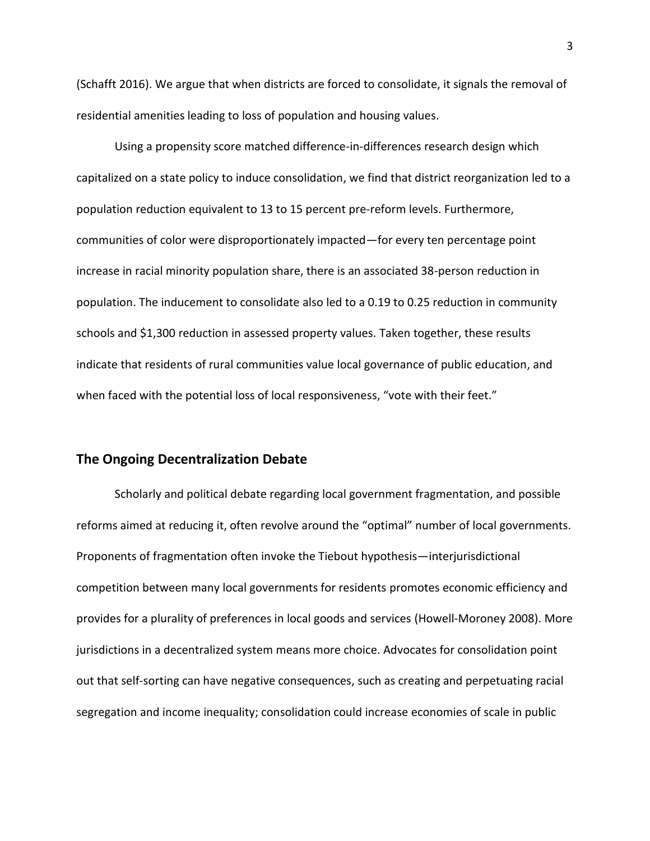(Schafft 2016). We argue that when districts are forced to consolidate, it signals the removal of residential amenities leading to loss of population and housing values.

Using a propensity score matched difference-in-differences research design which capitalized on a state policy to induce consolidation, we find that district reorganization led to a population reduction equivalent to 13 to 15 percent pre-reform levels. Furthermore, communities of color were disproportionately impacted—for every ten percentage point increase in racial minority population share, there is an associated 38-person reduction in population. The inducement to consolidate also led to a 0.19 to 0.25 reduction in community schools and \$1,300 reduction in assessed property values. Taken together, these results indicate that residents of rural communities value local governance of public education, and when faced with the potential loss of local responsiveness, "vote with their feet."

#### **The Ongoing Decentralization Debate**

Scholarly and political debate regarding local government fragmentation, and possible reforms aimed at reducing it, often revolve around the "optimal" number of local governments. Proponents of fragmentation often invoke the Tiebout hypothesis—interjurisdictional competition between many local governments for residents promotes economic efficiency and provides for a plurality of preferences in local goods and services (Howell‐Moroney 2008). More jurisdictions in a decentralized system means more choice. Advocates for consolidation point out that self-sorting can have negative consequences, such as creating and perpetuating racial segregation and income inequality; consolidation could increase economies of scale in public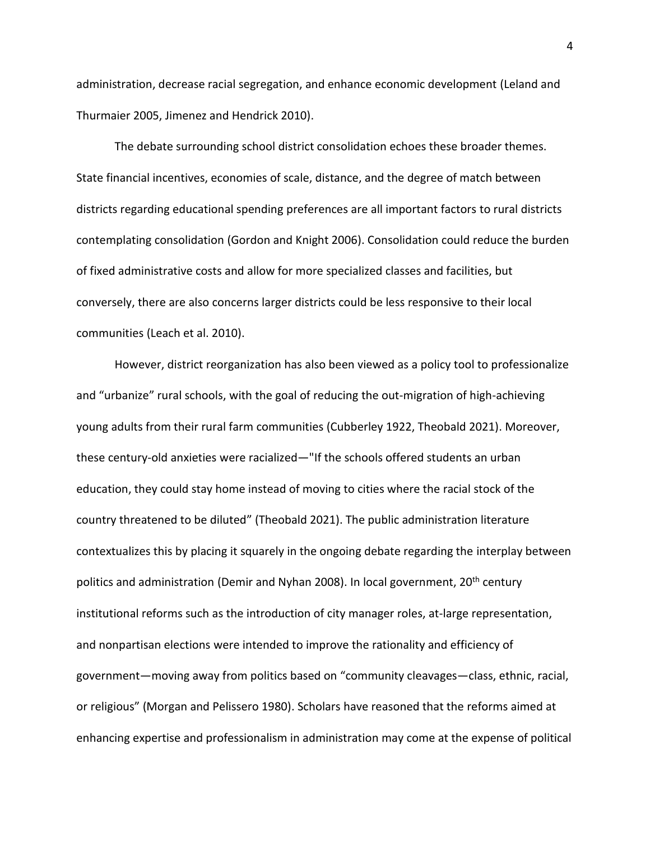administration, decrease racial segregation, and enhance economic development (Leland and Thurmaier 2005, Jimenez and Hendrick 2010).

The debate surrounding school district consolidation echoes these broader themes. State financial incentives, economies of scale, distance, and the degree of match between districts regarding educational spending preferences are all important factors to rural districts contemplating consolidation (Gordon and Knight 2006). Consolidation could reduce the burden of fixed administrative costs and allow for more specialized classes and facilities, but conversely, there are also concerns larger districts could be less responsive to their local communities (Leach et al. 2010).

However, district reorganization has also been viewed as a policy tool to professionalize and "urbanize" rural schools, with the goal of reducing the out-migration of high-achieving young adults from their rural farm communities (Cubberley 1922, Theobald 2021). Moreover, these century-old anxieties were racialized—"If the schools offered students an urban education, they could stay home instead of moving to cities where the racial stock of the country threatened to be diluted" (Theobald 2021). The public administration literature contextualizes this by placing it squarely in the ongoing debate regarding the interplay between politics and administration (Demir and Nyhan 2008). In local government, 20<sup>th</sup> century institutional reforms such as the introduction of city manager roles, at-large representation, and nonpartisan elections were intended to improve the rationality and efficiency of government—moving away from politics based on "community cleavages—class, ethnic, racial, or religious" (Morgan and Pelissero 1980). Scholars have reasoned that the reforms aimed at enhancing expertise and professionalism in administration may come at the expense of political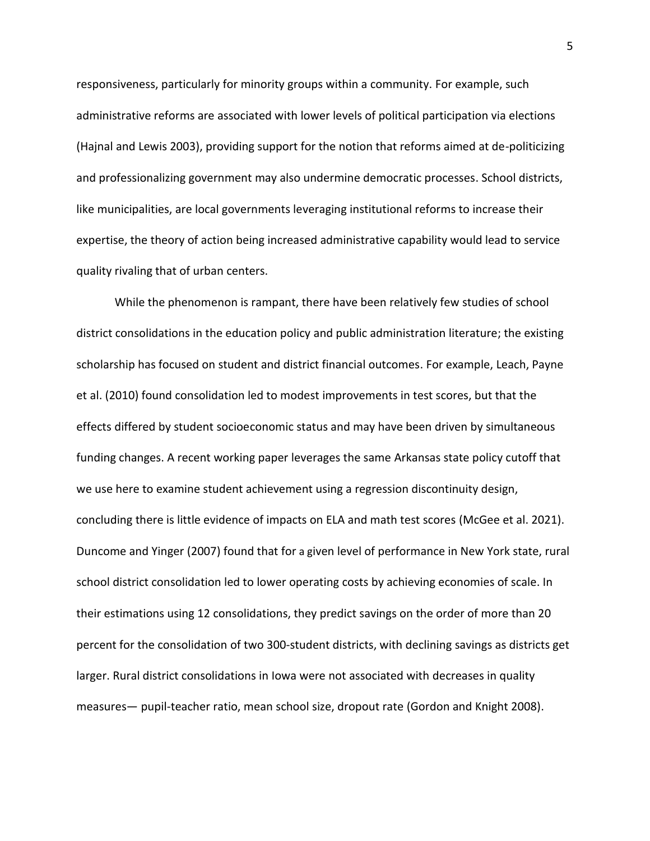responsiveness, particularly for minority groups within a community. For example, such administrative reforms are associated with lower levels of political participation via elections (Hajnal and Lewis 2003), providing support for the notion that reforms aimed at de-politicizing and professionalizing government may also undermine democratic processes. School districts, like municipalities, are local governments leveraging institutional reforms to increase their expertise, the theory of action being increased administrative capability would lead to service quality rivaling that of urban centers.

While the phenomenon is rampant, there have been relatively few studies of school district consolidations in the education policy and public administration literature; the existing scholarship has focused on student and district financial outcomes. For example, Leach, Payne et al. (2010) found consolidation led to modest improvements in test scores, but that the effects differed by student socioeconomic status and may have been driven by simultaneous funding changes. A recent working paper leverages the same Arkansas state policy cutoff that we use here to examine student achievement using a regression discontinuity design, concluding there is little evidence of impacts on ELA and math test scores (McGee et al. 2021). Duncome and Yinger (2007) found that for a given level of performance in New York state, rural school district consolidation led to lower operating costs by achieving economies of scale. In their estimations using 12 consolidations, they predict savings on the order of more than 20 percent for the consolidation of two 300-student districts, with declining savings as districts get larger. Rural district consolidations in Iowa were not associated with decreases in quality measures— pupil-teacher ratio, mean school size, dropout rate (Gordon and Knight 2008).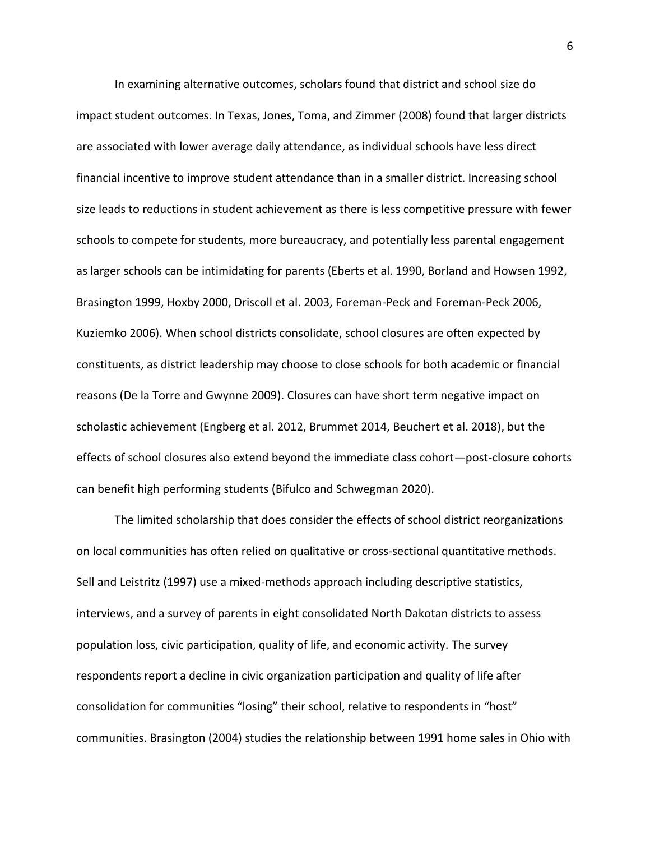In examining alternative outcomes, scholars found that district and school size do impact student outcomes. In Texas, Jones, Toma, and Zimmer (2008) found that larger districts are associated with lower average daily attendance, as individual schools have less direct financial incentive to improve student attendance than in a smaller district. Increasing school size leads to reductions in student achievement as there is less competitive pressure with fewer schools to compete for students, more bureaucracy, and potentially less parental engagement as larger schools can be intimidating for parents (Eberts et al. 1990, Borland and Howsen 1992, Brasington 1999, Hoxby 2000, Driscoll et al. 2003, Foreman-Peck and Foreman-Peck 2006, Kuziemko 2006). When school districts consolidate, school closures are often expected by constituents, as district leadership may choose to close schools for both academic or financial reasons (De la Torre and Gwynne 2009). Closures can have short term negative impact on scholastic achievement (Engberg et al. 2012, Brummet 2014, Beuchert et al. 2018), but the effects of school closures also extend beyond the immediate class cohort—post-closure cohorts can benefit high performing students (Bifulco and Schwegman 2020).

The limited scholarship that does consider the effects of school district reorganizations on local communities has often relied on qualitative or cross-sectional quantitative methods. Sell and Leistritz (1997) use a mixed-methods approach including descriptive statistics, interviews, and a survey of parents in eight consolidated North Dakotan districts to assess population loss, civic participation, quality of life, and economic activity. The survey respondents report a decline in civic organization participation and quality of life after consolidation for communities "losing" their school, relative to respondents in "host" communities. Brasington (2004) studies the relationship between 1991 home sales in Ohio with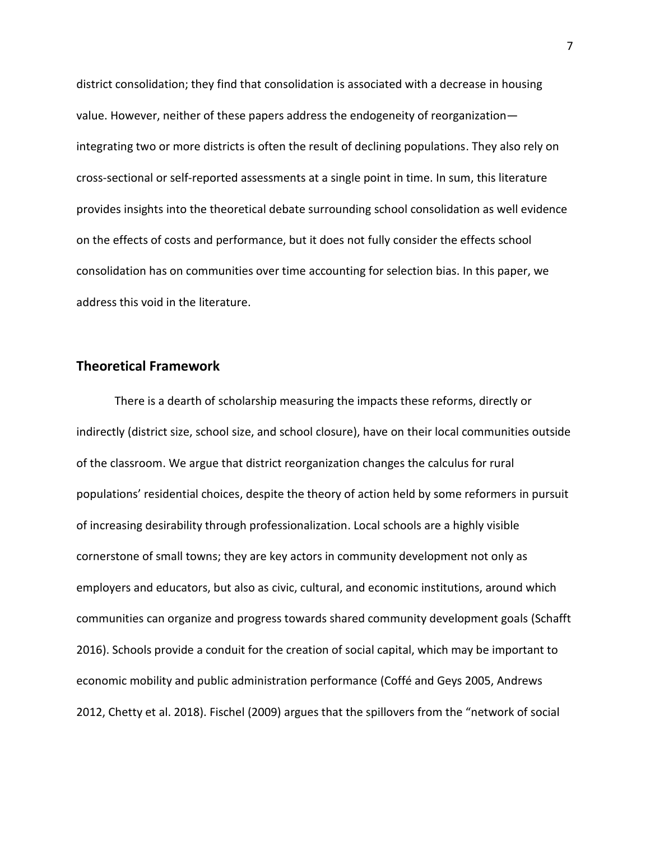district consolidation; they find that consolidation is associated with a decrease in housing value. However, neither of these papers address the endogeneity of reorganization integrating two or more districts is often the result of declining populations. They also rely on cross-sectional or self-reported assessments at a single point in time. In sum, this literature provides insights into the theoretical debate surrounding school consolidation as well evidence on the effects of costs and performance, but it does not fully consider the effects school consolidation has on communities over time accounting for selection bias. In this paper, we address this void in the literature.

#### **Theoretical Framework**

There is a dearth of scholarship measuring the impacts these reforms, directly or indirectly (district size, school size, and school closure), have on their local communities outside of the classroom. We argue that district reorganization changes the calculus for rural populations' residential choices, despite the theory of action held by some reformers in pursuit of increasing desirability through professionalization. Local schools are a highly visible cornerstone of small towns; they are key actors in community development not only as employers and educators, but also as civic, cultural, and economic institutions, around which communities can organize and progress towards shared community development goals (Schafft 2016). Schools provide a conduit for the creation of social capital, which may be important to economic mobility and public administration performance (Coffé and Geys 2005, Andrews 2012, Chetty et al. 2018). Fischel (2009) argues that the spillovers from the "network of social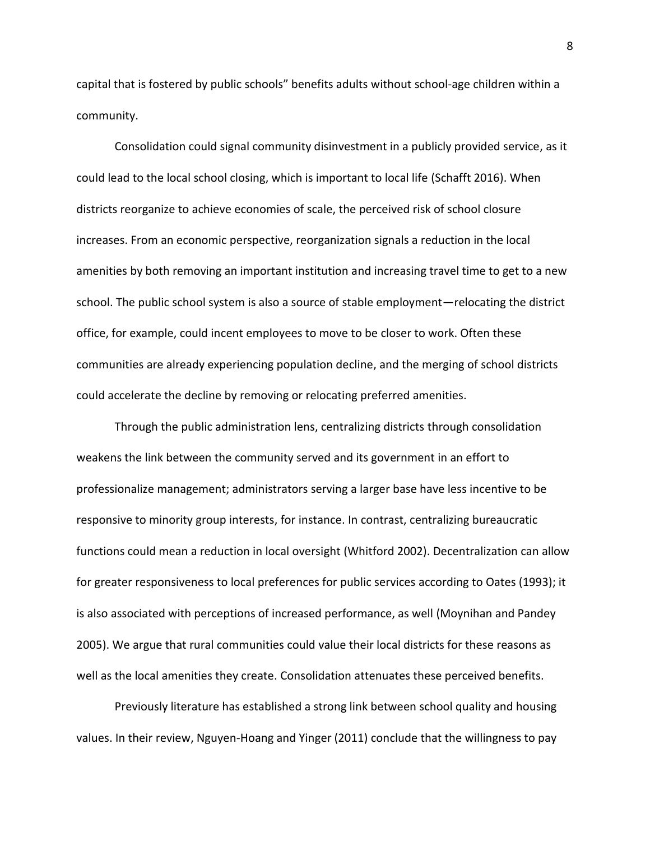capital that is fostered by public schools" benefits adults without school-age children within a community.

Consolidation could signal community disinvestment in a publicly provided service, as it could lead to the local school closing, which is important to local life (Schafft 2016). When districts reorganize to achieve economies of scale, the perceived risk of school closure increases. From an economic perspective, reorganization signals a reduction in the local amenities by both removing an important institution and increasing travel time to get to a new school. The public school system is also a source of stable employment—relocating the district office, for example, could incent employees to move to be closer to work. Often these communities are already experiencing population decline, and the merging of school districts could accelerate the decline by removing or relocating preferred amenities.

Through the public administration lens, centralizing districts through consolidation weakens the link between the community served and its government in an effort to professionalize management; administrators serving a larger base have less incentive to be responsive to minority group interests, for instance. In contrast, centralizing bureaucratic functions could mean a reduction in local oversight (Whitford 2002). Decentralization can allow for greater responsiveness to local preferences for public services according to Oates (1993); it is also associated with perceptions of increased performance, as well (Moynihan and Pandey 2005). We argue that rural communities could value their local districts for these reasons as well as the local amenities they create. Consolidation attenuates these perceived benefits.

Previously literature has established a strong link between school quality and housing values. In their review, Nguyen-Hoang and Yinger (2011) conclude that the willingness to pay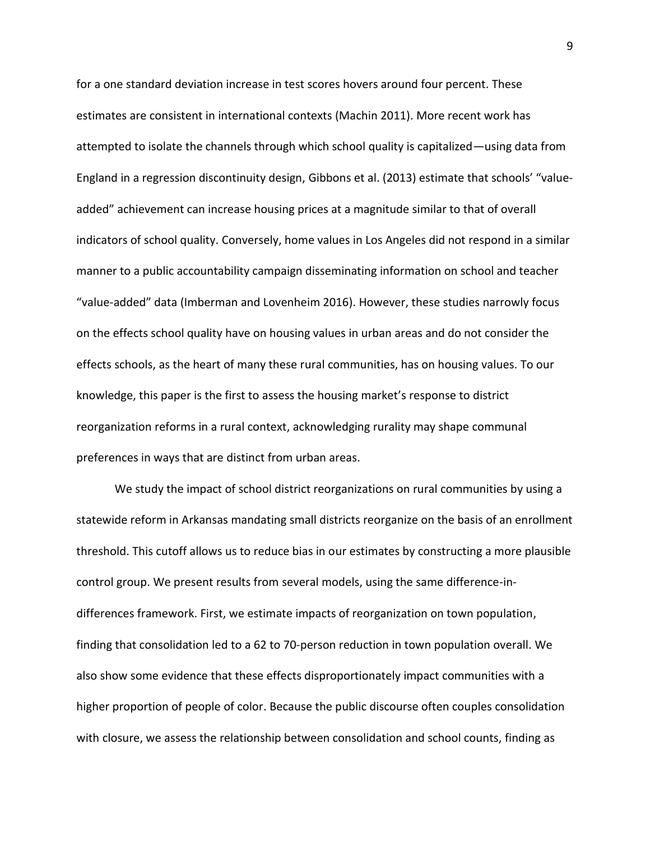for a one standard deviation increase in test scores hovers around four percent. These estimates are consistent in international contexts (Machin 2011). More recent work has attempted to isolate the channels through which school quality is capitalized—using data from England in a regression discontinuity design, Gibbons et al. (2013) estimate that schools' "valueadded" achievement can increase housing prices at a magnitude similar to that of overall indicators of school quality. Conversely, home values in Los Angeles did not respond in a similar manner to a public accountability campaign disseminating information on school and teacher "value-added" data (Imberman and Lovenheim 2016). However, these studies narrowly focus on the effects school quality have on housing values in urban areas and do not consider the effects schools, as the heart of many these rural communities, has on housing values. To our knowledge, this paper is the first to assess the housing market's response to district reorganization reforms in a rural context, acknowledging rurality may shape communal preferences in ways that are distinct from urban areas.

We study the impact of school district reorganizations on rural communities by using a statewide reform in Arkansas mandating small districts reorganize on the basis of an enrollment threshold. This cutoff allows us to reduce bias in our estimates by constructing a more plausible control group. We present results from several models, using the same difference-indifferences framework. First, we estimate impacts of reorganization on town population, finding that consolidation led to a 62 to 70-person reduction in town population overall. We also show some evidence that these effects disproportionately impact communities with a higher proportion of people of color. Because the public discourse often couples consolidation with closure, we assess the relationship between consolidation and school counts, finding as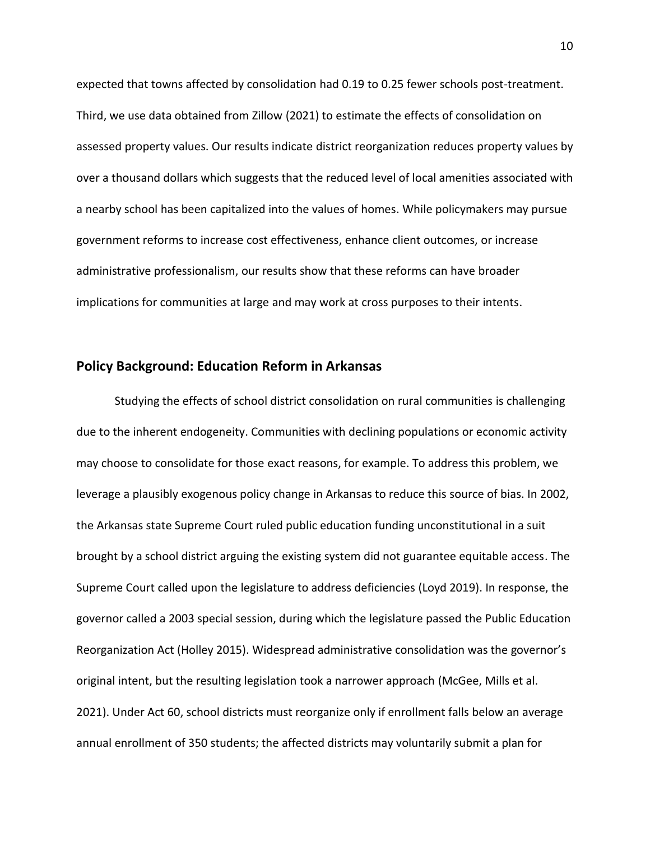expected that towns affected by consolidation had 0.19 to 0.25 fewer schools post-treatment. Third, we use data obtained from Zillow (2021) to estimate the effects of consolidation on assessed property values. Our results indicate district reorganization reduces property values by over a thousand dollars which suggests that the reduced level of local amenities associated with a nearby school has been capitalized into the values of homes. While policymakers may pursue government reforms to increase cost effectiveness, enhance client outcomes, or increase administrative professionalism, our results show that these reforms can have broader implications for communities at large and may work at cross purposes to their intents.

#### **Policy Background: Education Reform in Arkansas**

Studying the effects of school district consolidation on rural communities is challenging due to the inherent endogeneity. Communities with declining populations or economic activity may choose to consolidate for those exact reasons, for example. To address this problem, we leverage a plausibly exogenous policy change in Arkansas to reduce this source of bias. In 2002, the Arkansas state Supreme Court ruled public education funding unconstitutional in a suit brought by a school district arguing the existing system did not guarantee equitable access. The Supreme Court called upon the legislature to address deficiencies (Loyd 2019). In response, the governor called a 2003 special session, during which the legislature passed the Public Education Reorganization Act (Holley 2015). Widespread administrative consolidation was the governor's original intent, but the resulting legislation took a narrower approach (McGee, Mills et al. 2021). Under Act 60, school districts must reorganize only if enrollment falls below an average annual enrollment of 350 students; the affected districts may voluntarily submit a plan for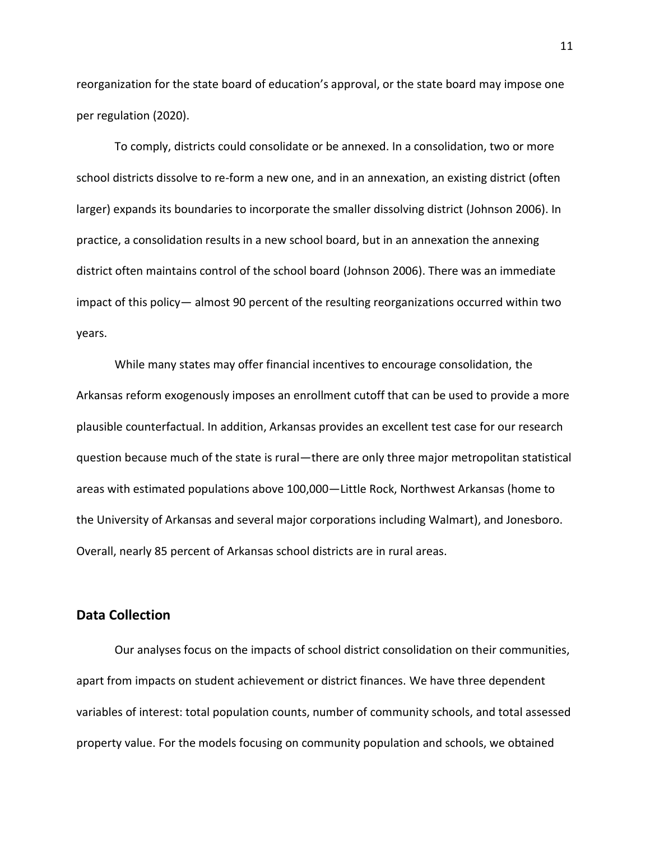reorganization for the state board of education's approval, or the state board may impose one per regulation (2020).

To comply, districts could consolidate or be annexed. In a consolidation, two or more school districts dissolve to re-form a new one, and in an annexation, an existing district (often larger) expands its boundaries to incorporate the smaller dissolving district (Johnson 2006). In practice, a consolidation results in a new school board, but in an annexation the annexing district often maintains control of the school board (Johnson 2006). There was an immediate impact of this policy— almost 90 percent of the resulting reorganizations occurred within two years.

While many states may offer financial incentives to encourage consolidation, the Arkansas reform exogenously imposes an enrollment cutoff that can be used to provide a more plausible counterfactual. In addition, Arkansas provides an excellent test case for our research question because much of the state is rural—there are only three major metropolitan statistical areas with estimated populations above 100,000—Little Rock, Northwest Arkansas (home to the University of Arkansas and several major corporations including Walmart), and Jonesboro. Overall, nearly 85 percent of Arkansas school districts are in rural areas.

#### **Data Collection**

Our analyses focus on the impacts of school district consolidation on their communities, apart from impacts on student achievement or district finances. We have three dependent variables of interest: total population counts, number of community schools, and total assessed property value. For the models focusing on community population and schools, we obtained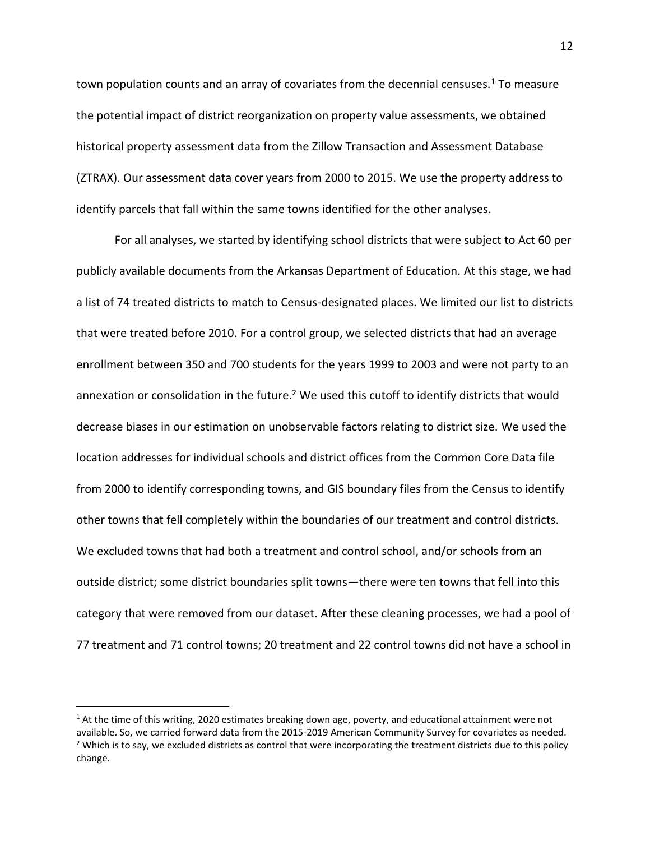town population counts and an array of covariates from the decennial censuses.<sup>1</sup> To measure the potential impact of district reorganization on property value assessments, we obtained historical property assessment data from the Zillow Transaction and Assessment Database (ZTRAX). Our assessment data cover years from 2000 to 2015. We use the property address to identify parcels that fall within the same towns identified for the other analyses.

For all analyses, we started by identifying school districts that were subject to Act 60 per publicly available documents from the Arkansas Department of Education. At this stage, we had a list of 74 treated districts to match to Census-designated places. We limited our list to districts that were treated before 2010. For a control group, we selected districts that had an average enrollment between 350 and 700 students for the years 1999 to 2003 and were not party to an annexation or consolidation in the future.<sup>2</sup> We used this cutoff to identify districts that would decrease biases in our estimation on unobservable factors relating to district size. We used the location addresses for individual schools and district offices from the Common Core Data file from 2000 to identify corresponding towns, and GIS boundary files from the Census to identify other towns that fell completely within the boundaries of our treatment and control districts. We excluded towns that had both a treatment and control school, and/or schools from an outside district; some district boundaries split towns—there were ten towns that fell into this category that were removed from our dataset. After these cleaning processes, we had a pool of 77 treatment and 71 control towns; 20 treatment and 22 control towns did not have a school in

 $<sup>1</sup>$  At the time of this writing, 2020 estimates breaking down age, poverty, and educational attainment were not</sup> available. So, we carried forward data from the 2015-2019 American Community Survey for covariates as needed.  $2$  Which is to say, we excluded districts as control that were incorporating the treatment districts due to this policy change.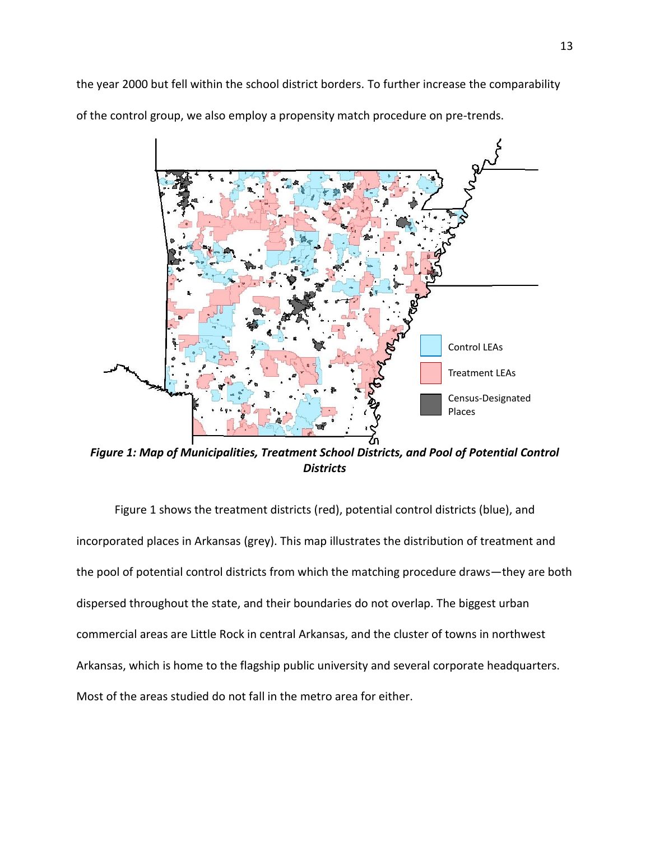the year 2000 but fell within the school district borders. To further increase the comparability of the control group, we also employ a propensity match procedure on pre-trends.



*Figure 1: Map of Municipalities, Treatment School Districts, and Pool of Potential Control Districts*

Figure 1 shows the treatment districts (red), potential control districts (blue), and incorporated places in Arkansas (grey). This map illustrates the distribution of treatment and the pool of potential control districts from which the matching procedure draws—they are both dispersed throughout the state, and their boundaries do not overlap. The biggest urban commercial areas are Little Rock in central Arkansas, and the cluster of towns in northwest Arkansas, which is home to the flagship public university and several corporate headquarters. Most of the areas studied do not fall in the metro area for either.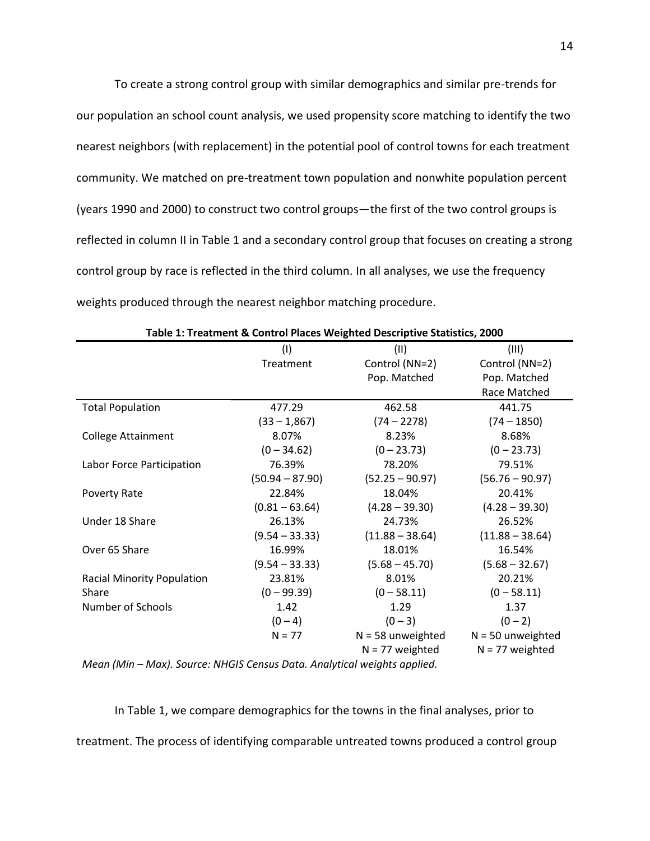To create a strong control group with similar demographics and similar pre-trends for our population an school count analysis, we used propensity score matching to identify the two nearest neighbors (with replacement) in the potential pool of control towns for each treatment community. We matched on pre-treatment town population and nonwhite population percent (years 1990 and 2000) to construct two control groups—the first of the two control groups is reflected in column II in Table 1 and a secondary control group that focuses on creating a strong control group by race is reflected in the third column. In all analyses, we use the frequency weights produced through the nearest neighbor matching procedure.

|                                                                          | (1)               | (11)                | (III)               |
|--------------------------------------------------------------------------|-------------------|---------------------|---------------------|
|                                                                          | Treatment         | Control (NN=2)      | Control (NN=2)      |
|                                                                          |                   | Pop. Matched        | Pop. Matched        |
|                                                                          |                   |                     | Race Matched        |
| <b>Total Population</b>                                                  | 477.29            | 462.58              | 441.75              |
|                                                                          | $(33 - 1,867)$    | $(74 - 2278)$       | $(74 - 1850)$       |
| <b>College Attainment</b>                                                | 8.07%             | 8.23%               | 8.68%               |
|                                                                          | $(0 - 34.62)$     | $(0 - 23.73)$       | $(0 - 23.73)$       |
| Labor Force Participation                                                | 76.39%            | 78.20%              | 79.51%              |
|                                                                          | $(50.94 - 87.90)$ | $(52.25 - 90.97)$   | $(56.76 - 90.97)$   |
| Poverty Rate                                                             | 22.84%            | 18.04%              | 20.41%              |
|                                                                          | $(0.81 - 63.64)$  | $(4.28 - 39.30)$    | $(4.28 - 39.30)$    |
| Under 18 Share                                                           | 26.13%            | 24.73%              | 26.52%              |
|                                                                          | $(9.54 - 33.33)$  | $(11.88 - 38.64)$   | $(11.88 - 38.64)$   |
| Over 65 Share                                                            | 16.99%            | 18.01%              | 16.54%              |
|                                                                          | $(9.54 - 33.33)$  | $(5.68 - 45.70)$    | $(5.68 - 32.67)$    |
| <b>Racial Minority Population</b>                                        | 23.81%            | 8.01%               | 20.21%              |
| Share                                                                    | $(0 - 99.39)$     | $(0 - 58.11)$       | $(0 - 58.11)$       |
| Number of Schools                                                        | 1.42              | 1.29                | 1.37                |
|                                                                          | $(0 - 4)$         | $(0 - 3)$           | $(0 - 2)$           |
|                                                                          | $N = 77$          | $N = 58$ unweighted | $N = 50$ unweighted |
|                                                                          |                   | $N = 77$ weighted   | $N = 77$ weighted   |
| Mean (Min – Max), Source: NHGIS Census Data, Analytical weights annifed. |                   |                     |                     |

|  | Table 1: Treatment & Control Places Weighted Descriptive Statistics, 2000 |  |  |  |  |  |
|--|---------------------------------------------------------------------------|--|--|--|--|--|
|--|---------------------------------------------------------------------------|--|--|--|--|--|

*Mean (Min – Max). Source: NHGIS Census Data. Analytical weights applied.*

In Table 1, we compare demographics for the towns in the final analyses, prior to treatment. The process of identifying comparable untreated towns produced a control group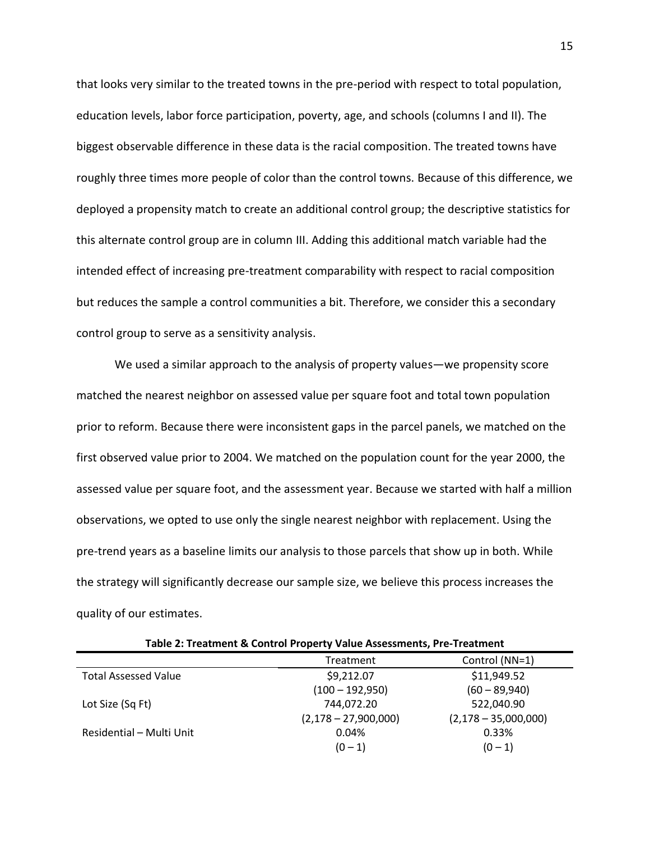that looks very similar to the treated towns in the pre-period with respect to total population, education levels, labor force participation, poverty, age, and schools (columns I and II). The biggest observable difference in these data is the racial composition. The treated towns have roughly three times more people of color than the control towns. Because of this difference, we deployed a propensity match to create an additional control group; the descriptive statistics for this alternate control group are in column III. Adding this additional match variable had the intended effect of increasing pre-treatment comparability with respect to racial composition but reduces the sample a control communities a bit. Therefore, we consider this a secondary control group to serve as a sensitivity analysis.

We used a similar approach to the analysis of property values—we propensity score matched the nearest neighbor on assessed value per square foot and total town population prior to reform. Because there were inconsistent gaps in the parcel panels, we matched on the first observed value prior to 2004. We matched on the population count for the year 2000, the assessed value per square foot, and the assessment year. Because we started with half a million observations, we opted to use only the single nearest neighbor with replacement. Using the pre-trend years as a baseline limits our analysis to those parcels that show up in both. While the strategy will significantly decrease our sample size, we believe this process increases the quality of our estimates.

| Table 2: Treatment & Control Property Value Assessments, Pre-Treatment |                        |                        |  |
|------------------------------------------------------------------------|------------------------|------------------------|--|
|                                                                        | Treatment              | Control (NN=1)         |  |
| <b>Total Assessed Value</b>                                            | \$9,212.07             | \$11,949.52            |  |
|                                                                        | $(100 - 192,950)$      | $(60 - 89,940)$        |  |
| Lot Size (Sq Ft)                                                       | 744,072.20             | 522,040.90             |  |
|                                                                        | $(2,178 - 27,900,000)$ | $(2,178 - 35,000,000)$ |  |
| Residential - Multi Unit                                               | 0.04%                  | 0.33%                  |  |
|                                                                        | $(0 - 1)$              | $(0 - 1)$              |  |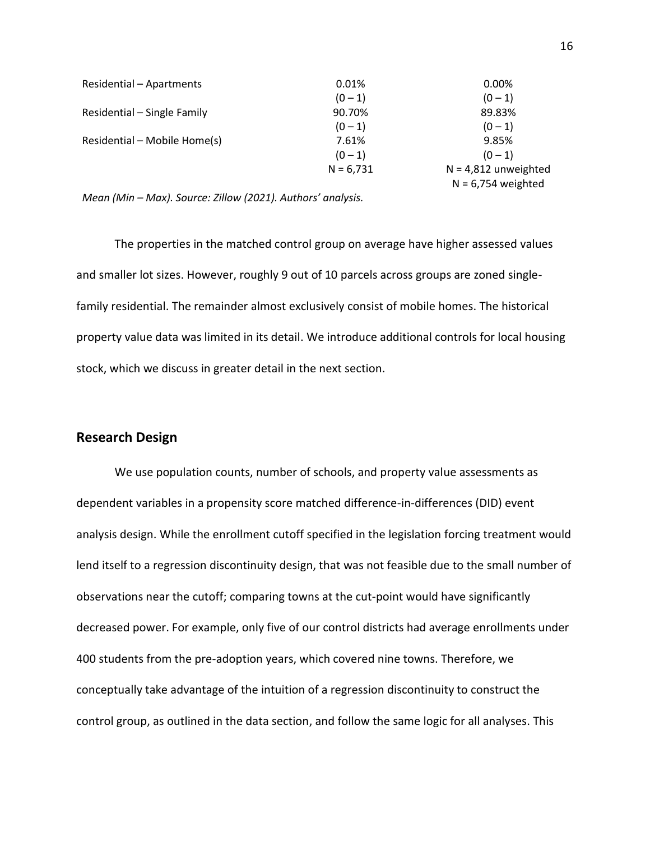| Residential - Apartments     | 0.01%       | 0.00%                  |
|------------------------------|-------------|------------------------|
|                              | $(0 - 1)$   | $(0 - 1)$              |
| Residential - Single Family  | 90.70%      | 89.83%                 |
|                              | $(0 - 1)$   | $(0 - 1)$              |
| Residential – Mobile Home(s) | 7.61%       | 9.85%                  |
|                              | $(0 - 1)$   | $(0 - 1)$              |
|                              | $N = 6.731$ | $N = 4,812$ unweighted |
|                              |             | $N = 6,754$ weighted   |

*Mean (Min – Max). Source: Zillow (2021). Authors' analysis.*

The properties in the matched control group on average have higher assessed values and smaller lot sizes. However, roughly 9 out of 10 parcels across groups are zoned singlefamily residential. The remainder almost exclusively consist of mobile homes. The historical property value data was limited in its detail. We introduce additional controls for local housing stock, which we discuss in greater detail in the next section.

#### **Research Design**

We use population counts, number of schools, and property value assessments as dependent variables in a propensity score matched difference-in-differences (DID) event analysis design. While the enrollment cutoff specified in the legislation forcing treatment would lend itself to a regression discontinuity design, that was not feasible due to the small number of observations near the cutoff; comparing towns at the cut-point would have significantly decreased power. For example, only five of our control districts had average enrollments under 400 students from the pre-adoption years, which covered nine towns. Therefore, we conceptually take advantage of the intuition of a regression discontinuity to construct the control group, as outlined in the data section, and follow the same logic for all analyses. This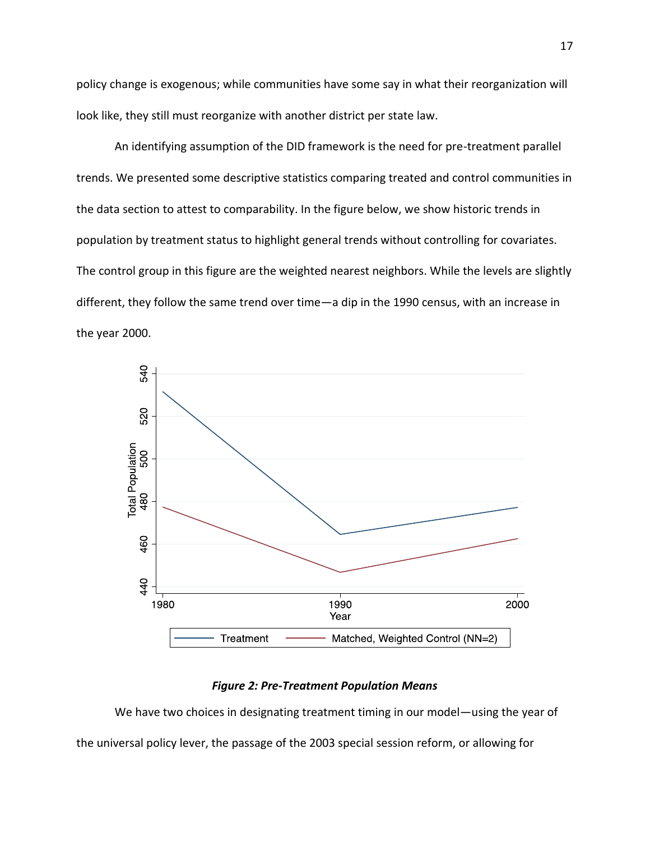policy change is exogenous; while communities have some say in what their reorganization will look like, they still must reorganize with another district per state law.

An identifying assumption of the DID framework is the need for pre-treatment parallel trends. We presented some descriptive statistics comparing treated and control communities in the data section to attest to comparability. In the figure below, we show historic trends in population by treatment status to highlight general trends without controlling for covariates. The control group in this figure are the weighted nearest neighbors. While the levels are slightly different, they follow the same trend over time—a dip in the 1990 census, with an increase in the year 2000.



#### *Figure 2: Pre-Treatment Population Means*

We have two choices in designating treatment timing in our model—using the year of the universal policy lever, the passage of the 2003 special session reform, or allowing for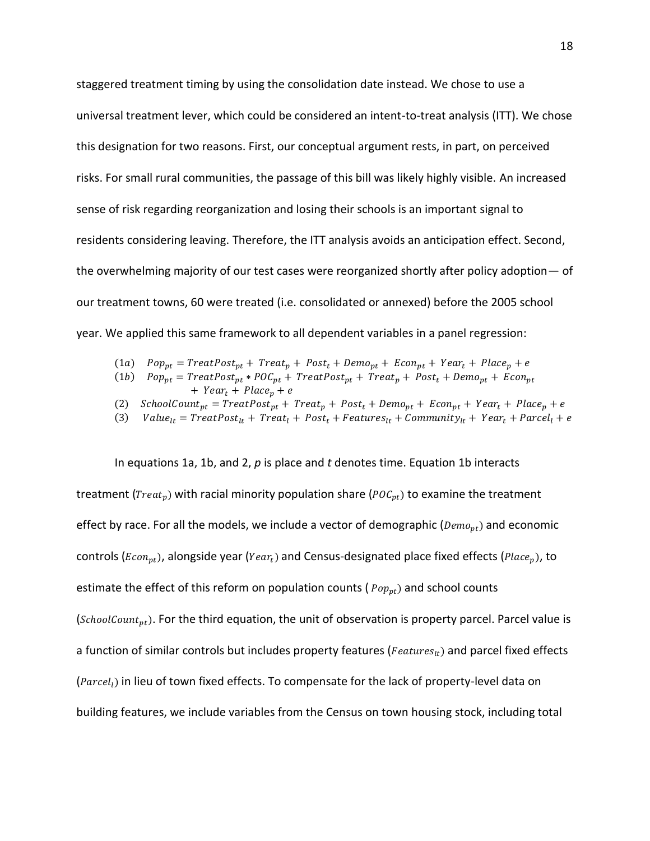staggered treatment timing by using the consolidation date instead. We chose to use a universal treatment lever, which could be considered an intent-to-treat analysis (ITT). We chose this designation for two reasons. First, our conceptual argument rests, in part, on perceived risks. For small rural communities, the passage of this bill was likely highly visible. An increased sense of risk regarding reorganization and losing their schools is an important signal to residents considering leaving. Therefore, the ITT analysis avoids an anticipation effect. Second, the overwhelming majority of our test cases were reorganized shortly after policy adoption— of our treatment towns, 60 were treated (i.e. consolidated or annexed) before the 2005 school year. We applied this same framework to all dependent variables in a panel regression:

- (1a)  $Pop_{pt} = TreatPost_{pt} + Treat_{p} + Post_{t} + Penn_{pt} + Econ_{pt} + Year_{t} + Place_{p} + e$
- (1b)  $Pop_{pt} = TreatPost_{pt} * POC_{pt} + TreatPost_{pt} + Treat_p + Post_t + Demo_{pt} + Econ_{pt}$  $+$   $Year_t + Place_n + e$
- (2)  $SchoolCount_{pt} = TreatPost_{pt} + Treat_p + Post_t + Demo_{pt} + Econ_{pt} + Year_t + Place_p + e$
- (3)  $Value_{lt} = TreatPost_{lt} + Treat_l + Post_t + Feature_{lt} + Communist_{lt} + Community_{lt} + Year_t + Parcel_l + e$

In equations 1a, 1b, and 2, *p* is place and *t* denotes time. Equation 1b interacts treatment ( $Treat_v$ ) with racial minority population share ( $POC_{vt}$ ) to examine the treatment effect by race. For all the models, we include a vector of demographic ( $Demo_{nt}$ ) and economic controls ( $Econ_{nt}$ ), alongside year ( $Year_t$ ) and Census-designated place fixed effects ( $Place_n$ ), to estimate the effect of this reform on population counts ( $Pop_{pt}$ ) and school counts (*SchoolCount<sub>nt</sub>*). For the third equation, the unit of observation is property parcel. Parcel value is a function of similar controls but includes property features ( $Features<sub>lt</sub>$ ) and parcel fixed effects  $(Pareel<sub>l</sub>)$  in lieu of town fixed effects. To compensate for the lack of property-level data on building features, we include variables from the Census on town housing stock, including total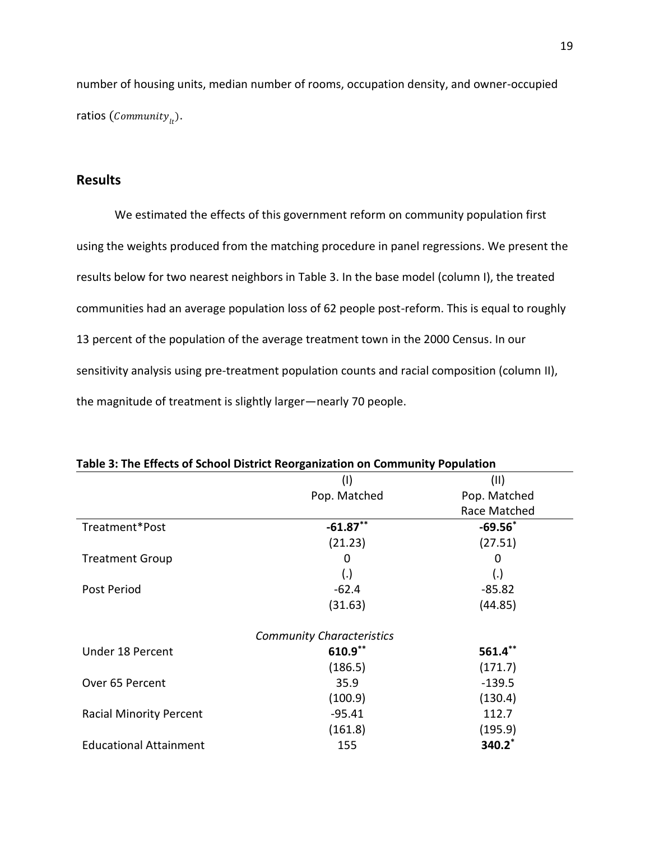number of housing units, median number of rooms, occupation density, and owner-occupied ratios  $(Commanity_{1}$ .

19

# **Results**

We estimated the effects of this government reform on community population first using the weights produced from the matching procedure in panel regressions. We present the results below for two nearest neighbors in Table 3. In the base model (column I), the treated communities had an average population loss of 62 people post-reform. This is equal to roughly 13 percent of the population of the average treatment town in the 2000 Census. In our sensitivity analysis using pre-treatment population counts and racial composition (column II), the magnitude of treatment is slightly larger—nearly 70 people.

|                                | Table 3: The Effects of School District Reorganization on Community Population |              |  |
|--------------------------------|--------------------------------------------------------------------------------|--------------|--|
|                                | (1)                                                                            | (11)         |  |
|                                | Pop. Matched                                                                   | Pop. Matched |  |
|                                |                                                                                | Race Matched |  |
| Treatment*Post                 | $-61.87**$                                                                     | $-69.56*$    |  |
|                                | (21.23)                                                                        | (27.51)      |  |
| <b>Treatment Group</b>         | 0                                                                              | O            |  |
|                                | (.)                                                                            | (.)          |  |
| Post Period                    | $-62.4$                                                                        | $-85.82$     |  |
|                                | (31.63)                                                                        | (44.85)      |  |
|                                | <b>Community Characteristics</b>                                               |              |  |
| Under 18 Percent               | 610.9**                                                                        | $561.4***$   |  |
|                                | (186.5)                                                                        | (171.7)      |  |
| Over 65 Percent                | 35.9                                                                           | $-139.5$     |  |
|                                | (100.9)                                                                        | (130.4)      |  |
| <b>Racial Minority Percent</b> | $-95.41$                                                                       | 112.7        |  |
|                                | (161.8)                                                                        | (195.9)      |  |
| <b>Educational Attainment</b>  | 155                                                                            | 340.2*       |  |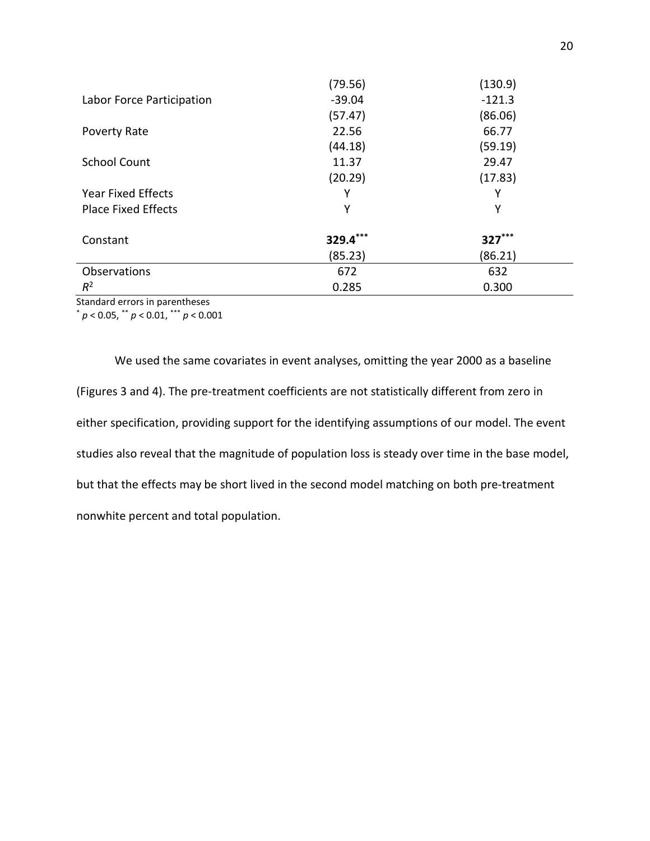|                            | (79.56)  | (130.9)  |
|----------------------------|----------|----------|
| Labor Force Participation  | $-39.04$ | $-121.3$ |
|                            | (57.47)  | (86.06)  |
| Poverty Rate               | 22.56    | 66.77    |
|                            | (44.18)  | (59.19)  |
| <b>School Count</b>        | 11.37    | 29.47    |
|                            | (20.29)  | (17.83)  |
| <b>Year Fixed Effects</b>  | Υ        | Y        |
| <b>Place Fixed Effects</b> | Υ        | Υ        |
|                            |          |          |
| Constant                   | 329.4*** | $327***$ |
|                            | (85.23)  | (86.21)  |
| Observations               | 672      | 632      |
| $R^2$                      | 0.285    | 0.300    |

Standard errors in parentheses

\* *p* < 0.05, \*\* *p* < 0.01, \*\*\* *p* < 0.001

We used the same covariates in event analyses, omitting the year 2000 as a baseline (Figures 3 and 4). The pre-treatment coefficients are not statistically different from zero in either specification, providing support for the identifying assumptions of our model. The event studies also reveal that the magnitude of population loss is steady over time in the base model, but that the effects may be short lived in the second model matching on both pre-treatment nonwhite percent and total population.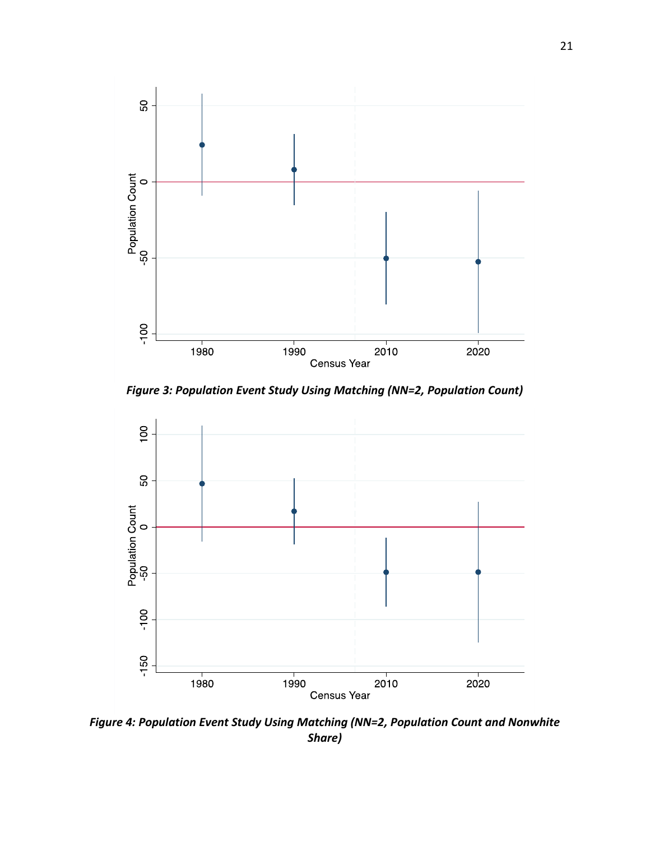

*Figure 3: Population Event Study Using Matching (NN=2, Population Count)*



*Figure 4: Population Event Study Using Matching (NN=2, Population Count and Nonwhite Share)*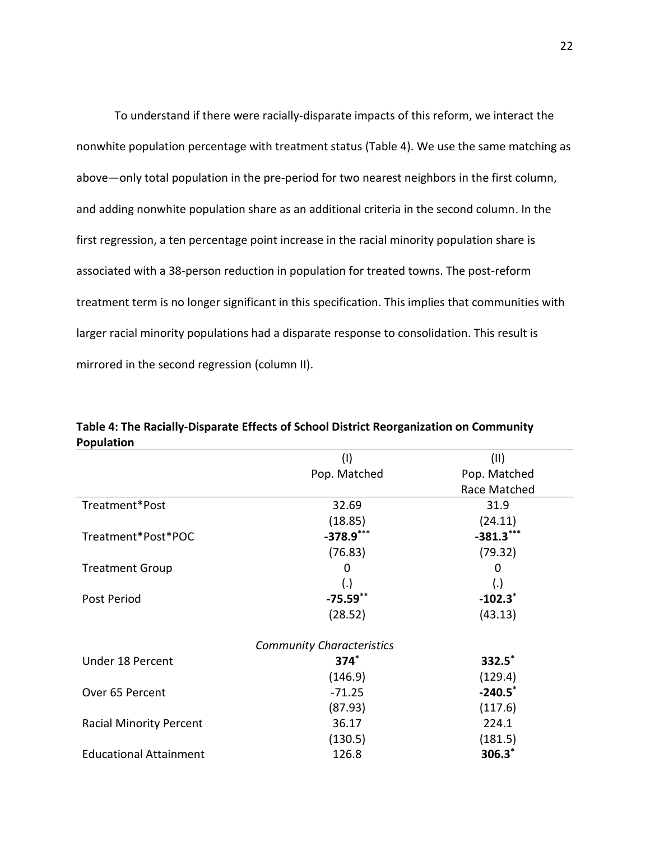To understand if there were racially-disparate impacts of this reform, we interact the nonwhite population percentage with treatment status (Table 4). We use the same matching as above—only total population in the pre-period for two nearest neighbors in the first column, and adding nonwhite population share as an additional criteria in the second column. In the first regression, a ten percentage point increase in the racial minority population share is associated with a 38-person reduction in population for treated towns. The post-reform treatment term is no longer significant in this specification. This implies that communities with larger racial minority populations had a disparate response to consolidation. This result is mirrored in the second regression (column II).

|                                | $($ l $)$                        | (11)         |
|--------------------------------|----------------------------------|--------------|
|                                | Pop. Matched                     | Pop. Matched |
|                                |                                  | Race Matched |
| Treatment*Post                 | 32.69                            | 31.9         |
|                                | (18.85)                          | (24.11)      |
| Treatment*Post*POC             | $-378.9$ ***                     | $-381.3$ *** |
|                                | (76.83)                          | (79.32)      |
| <b>Treatment Group</b>         | 0                                | 0            |
|                                | (.)                              | (.)          |
| Post Period                    | $-75.59**$                       | $-102.3$     |
|                                | (28.52)                          | (43.13)      |
|                                | <b>Community Characteristics</b> |              |
| Under 18 Percent               | $374^*$                          | $332.5^*$    |
|                                | (146.9)                          | (129.4)      |
| Over 65 Percent                | $-71.25$                         | $-240.5$     |
|                                | (87.93)                          | (117.6)      |
| <b>Racial Minority Percent</b> | 36.17                            | 224.1        |
|                                | (130.5)                          | (181.5)      |
| <b>Educational Attainment</b>  | 126.8                            | $306.3*$     |

**Table 4: The Racially-Disparate Effects of School District Reorganization on Community Population**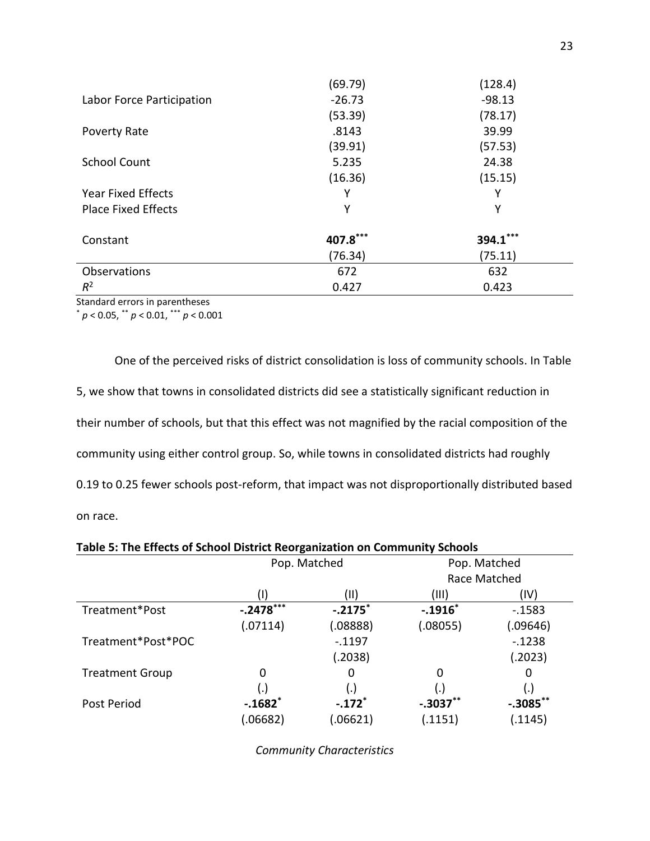|                            | (69.79)  | (128.4)    |
|----------------------------|----------|------------|
| Labor Force Participation  | $-26.73$ | $-98.13$   |
|                            | (53.39)  | (78.17)    |
| Poverty Rate               | .8143    | 39.99      |
|                            | (39.91)  | (57.53)    |
| <b>School Count</b>        | 5.235    | 24.38      |
|                            | (16.36)  | (15.15)    |
| <b>Year Fixed Effects</b>  | Υ        | Y          |
| <b>Place Fixed Effects</b> | Υ        | Υ          |
| Constant                   | 407.8*** | $394.1***$ |
|                            | (76.34)  | (75.11)    |
| Observations               | 672      | 632        |
| $R^2$                      | 0.427    | 0.423      |

Standard errors in parentheses

\* *p* < 0.05, \*\* *p* < 0.01, \*\*\* *p* < 0.001

One of the perceived risks of district consolidation is loss of community schools. In Table 5, we show that towns in consolidated districts did see a statistically significant reduction in their number of schools, but that this effect was not magnified by the racial composition of the community using either control group. So, while towns in consolidated districts had roughly 0.19 to 0.25 fewer schools post-reform, that impact was not disproportionally distributed based on race.

**Table 5: The Effects of School District Reorganization on Community Schools**

|                        | Pop. Matched          |                      |            | Pop. Matched |
|------------------------|-----------------------|----------------------|------------|--------------|
|                        |                       |                      |            | Race Matched |
|                        |                       | (II)                 | (III)      | (IV)         |
| Treatment*Post         | $-.2478***$           | $-.2175$             | $-.1916*$  | $-0.1583$    |
|                        | (.07114)              | (.08888)             | (.08055)   | (.09646)     |
| Treatment*Post*POC     |                       | $-0.1197$            |            | $-0.1238$    |
|                        |                       | (.2038)              |            | (.2023)      |
| <b>Treatment Group</b> | 0                     | 0                    | 0          | 0            |
|                        | (.)                   | (.)                  | (.)        | (.)          |
| Post Period            | $-.1682$ <sup>*</sup> | $-.172$ <sup>*</sup> | $-.3037**$ | $-.3085$ **  |
|                        | .06682)               | 06621                | (.1151)    | (.1145)      |

*Community Characteristics*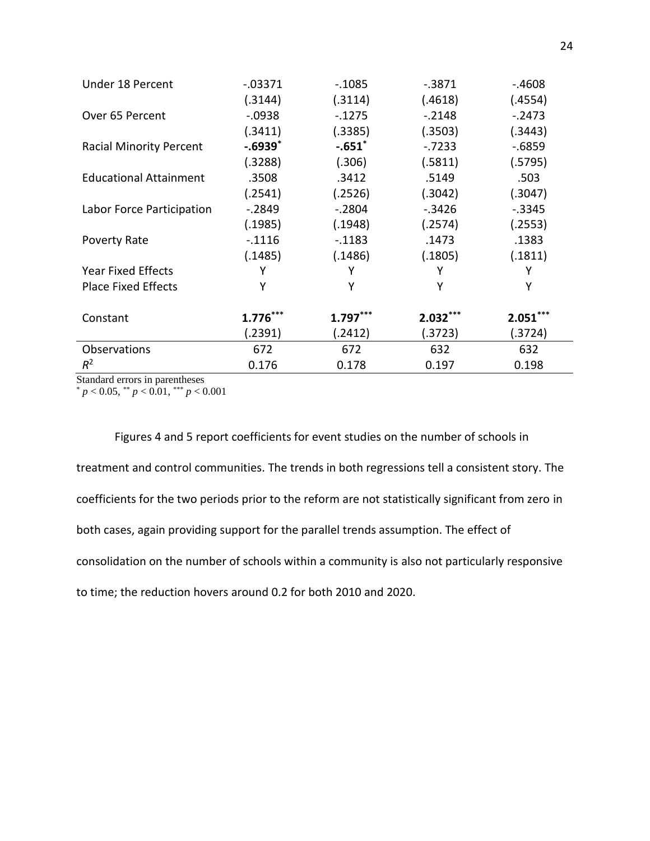| Under 18 Percent               | $-0.03371$ | $-0.1085$  | $-0.3871$  | $-.4608$   |
|--------------------------------|------------|------------|------------|------------|
|                                | (.3144)    | (.3114)    | (.4618)    | (.4554)    |
| Over 65 Percent                | $-0.0938$  | $-1275$    | $-.2148$   | $-.2473$   |
|                                | (.3411)    | (.3385)    | (.3503)    | (.3443)    |
| <b>Racial Minority Percent</b> | $-.6939"$  | $-.651$    | $-0.7233$  | $-0.6859$  |
|                                | (.3288)    | (.306)     | (.5811)    | (.5795)    |
| <b>Educational Attainment</b>  | .3508      | .3412      | .5149      | .503       |
|                                | (.2541)    | (.2526)    | (.3042)    | (.3047)    |
| Labor Force Participation      | $-0.2849$  | $-.2804$   | $-.3426$   | $-.3345$   |
|                                | (.1985)    | (.1948)    | (.2574)    | (.2553)    |
| Poverty Rate                   | $-.1116$   | $-.1183$   | .1473      | .1383      |
|                                | (.1485)    | (.1486)    | (.1805)    | (.1811)    |
| <b>Year Fixed Effects</b>      | Υ          | γ          | Y          | Υ          |
| <b>Place Fixed Effects</b>     | Υ          | Υ          | Y          | Υ          |
|                                |            |            |            |            |
| Constant                       | $1.776***$ | $1.797***$ | $2.032***$ | $2.051***$ |
|                                | (.2391)    | (.2412)    | (.3723)    | (.3724)    |
| Observations                   | 672        | 672        | 632        | 632        |
| $R^2$                          | 0.176      | 0.178      | 0.197      | 0.198      |

Standard errors in parentheses

 $p < 0.05$ ,  $p < 0.01$ ,  $p < 0.001$ 

Figures 4 and 5 report coefficients for event studies on the number of schools in treatment and control communities. The trends in both regressions tell a consistent story. The coefficients for the two periods prior to the reform are not statistically significant from zero in both cases, again providing support for the parallel trends assumption. The effect of consolidation on the number of schools within a community is also not particularly responsive to time; the reduction hovers around 0.2 for both 2010 and 2020.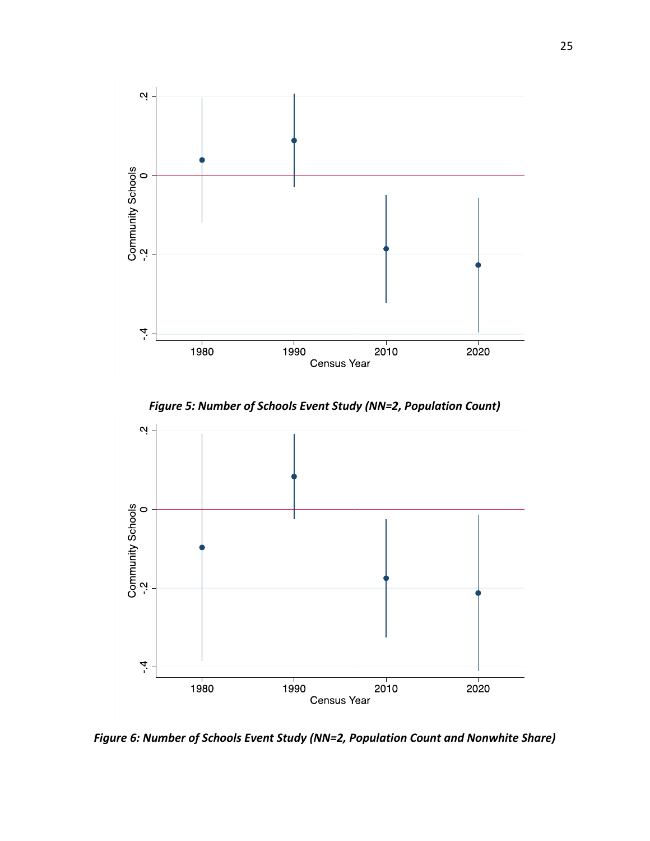

*Figure 5: Number of Schools Event Study (NN=2, Population Count)*



*Figure 6: Number of Schools Event Study (NN=2, Population Count and Nonwhite Share)*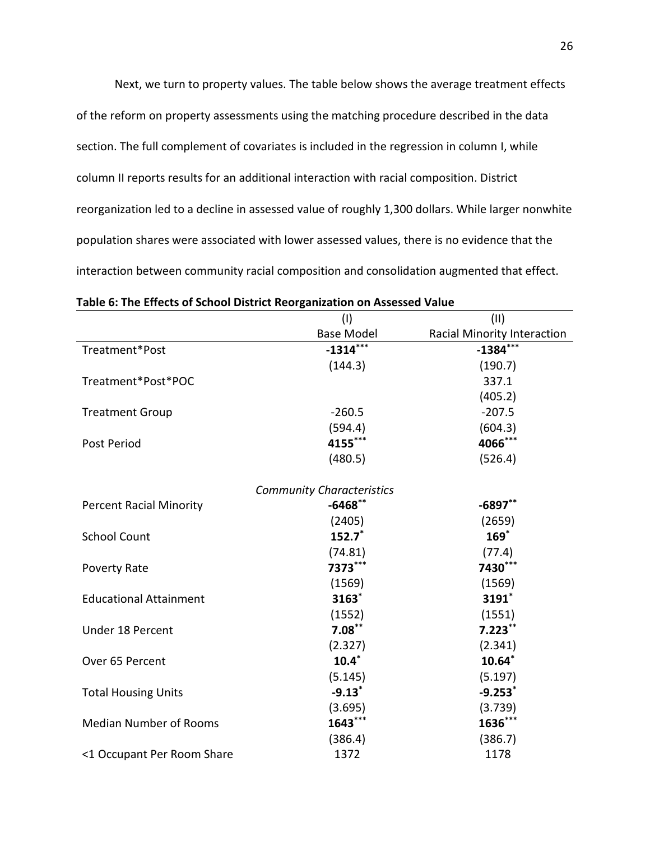Next, we turn to property values. The table below shows the average treatment effects of the reform on property assessments using the matching procedure described in the data section. The full complement of covariates is included in the regression in column I, while column II reports results for an additional interaction with racial composition. District reorganization led to a decline in assessed value of roughly 1,300 dollars. While larger nonwhite population shares were associated with lower assessed values, there is no evidence that the interaction between community racial composition and consolidation augmented that effect.

|                                | (1)                              | (11)                        |
|--------------------------------|----------------------------------|-----------------------------|
|                                | <b>Base Model</b>                | Racial Minority Interaction |
| Treatment*Post                 | $-1314***$                       | $-1384***$                  |
|                                | (144.3)                          | (190.7)                     |
| Treatment*Post*POC             |                                  | 337.1                       |
|                                |                                  | (405.2)                     |
| <b>Treatment Group</b>         | $-260.5$                         | $-207.5$                    |
|                                | (594.4)                          | (604.3)                     |
| Post Period                    | 4155***                          | 4066***                     |
|                                | (480.5)                          | (526.4)                     |
|                                | <b>Community Characteristics</b> |                             |
| <b>Percent Racial Minority</b> | $-6468$ **                       | $-6897**$                   |
|                                | (2405)                           | (2659)                      |
| <b>School Count</b>            | $152.7*$                         | $169$ *                     |
|                                | (74.81)                          | (77.4)                      |
| <b>Poverty Rate</b>            | 7373***                          | 7430***                     |
|                                | (1569)                           | (1569)                      |
| <b>Educational Attainment</b>  | 3163*                            | 3191*                       |
|                                | (1552)                           | (1551)                      |
| Under 18 Percent               | $7.08***$                        | $7.223***$                  |
|                                | (2.327)                          | (2.341)                     |
| Over 65 Percent                | $10.4*$                          | $10.64*$                    |
|                                | (5.145)                          | (5.197)                     |
| <b>Total Housing Units</b>     | $-9.13$ <sup>*</sup>             | $-9.253$ *                  |
|                                | (3.695)                          | (3.739)                     |
| <b>Median Number of Rooms</b>  | 1643***                          | 1636***                     |
|                                | (386.4)                          | (386.7)                     |
| <1 Occupant Per Room Share     | 1372                             | 1178                        |

|  |  |  | Table 6: The Effects of School District Reorganization on Assessed Value |  |  |
|--|--|--|--------------------------------------------------------------------------|--|--|
|--|--|--|--------------------------------------------------------------------------|--|--|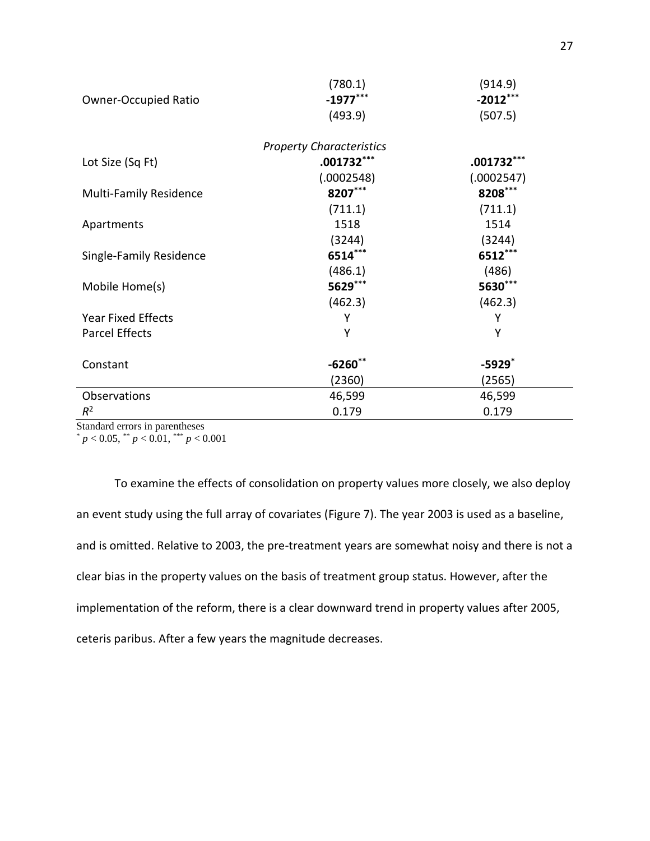|                                 | (780.1)      | (914.9)              |  |  |
|---------------------------------|--------------|----------------------|--|--|
| <b>Owner-Occupied Ratio</b>     | $-1977***$   | $-2012***$           |  |  |
|                                 | (493.9)      | (507.5)              |  |  |
| <b>Property Characteristics</b> |              |                      |  |  |
| Lot Size (Sq Ft)                | $.001732***$ | $.001732***$         |  |  |
|                                 | (.0002548)   | (.0002547)           |  |  |
| <b>Multi-Family Residence</b>   | 8207***      | 8208***              |  |  |
|                                 | (711.1)      | (711.1)              |  |  |
| Apartments                      | 1518         | 1514                 |  |  |
|                                 | (3244)       | (3244)               |  |  |
| Single-Family Residence         | 6514***      | 6512***              |  |  |
|                                 | (486.1)      | (486)                |  |  |
| Mobile Home(s)                  | 5629***      | 5630***              |  |  |
|                                 | (462.3)      | (462.3)              |  |  |
| <b>Year Fixed Effects</b>       | Υ            | Υ                    |  |  |
| <b>Parcel Effects</b>           | Υ            | Υ                    |  |  |
|                                 |              |                      |  |  |
| Constant                        | $-6260**$    | $-5929$ <sup>*</sup> |  |  |
|                                 | (2360)       | (2565)               |  |  |
| Observations                    | 46,599       | 46,599               |  |  |
| $R^2$                           | 0.179        | 0.179                |  |  |

Standard errors in parentheses

 $p < 0.05$ ,  $\binom{10}{3}$  *p* < 0.01,  $\binom{100}{3}$  *p* < 0.001

To examine the effects of consolidation on property values more closely, we also deploy an event study using the full array of covariates (Figure 7). The year 2003 is used as a baseline, and is omitted. Relative to 2003, the pre-treatment years are somewhat noisy and there is not a clear bias in the property values on the basis of treatment group status. However, after the implementation of the reform, there is a clear downward trend in property values after 2005, ceteris paribus. After a few years the magnitude decreases.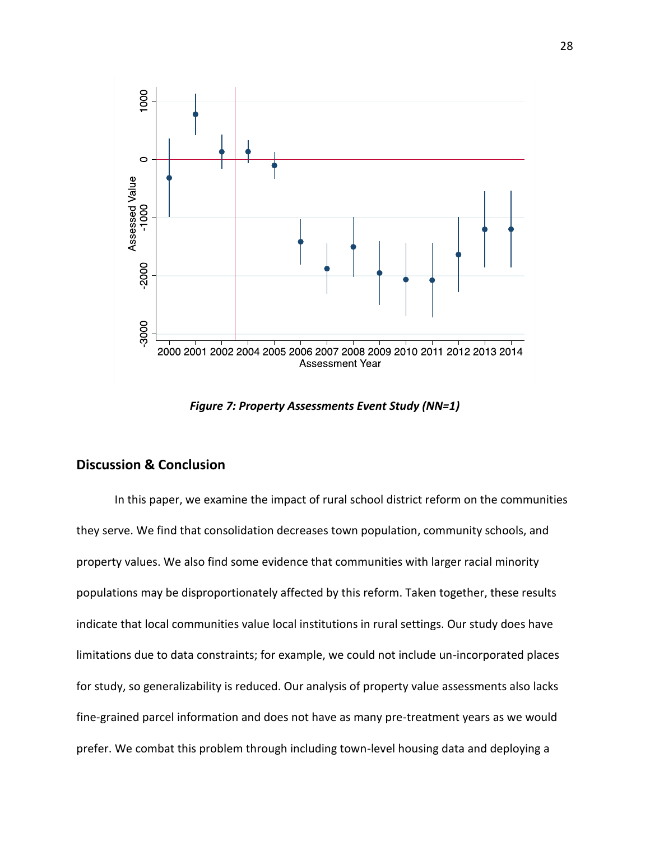

*Figure 7: Property Assessments Event Study (NN=1)*

### **Discussion & Conclusion**

In this paper, we examine the impact of rural school district reform on the communities they serve. We find that consolidation decreases town population, community schools, and property values. We also find some evidence that communities with larger racial minority populations may be disproportionately affected by this reform. Taken together, these results indicate that local communities value local institutions in rural settings. Our study does have limitations due to data constraints; for example, we could not include un-incorporated places for study, so generalizability is reduced. Our analysis of property value assessments also lacks fine-grained parcel information and does not have as many pre-treatment years as we would prefer. We combat this problem through including town-level housing data and deploying a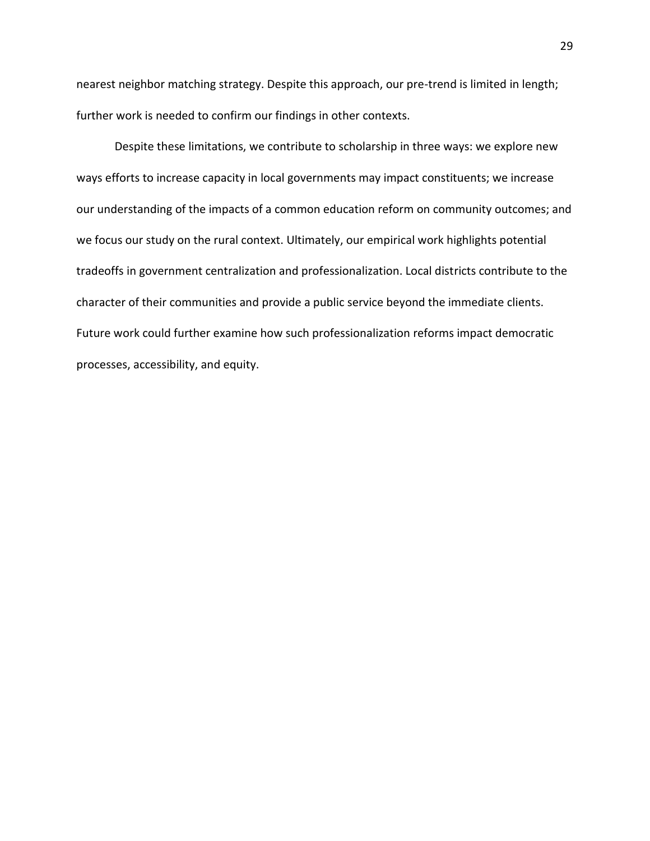nearest neighbor matching strategy. Despite this approach, our pre-trend is limited in length; further work is needed to confirm our findings in other contexts.

Despite these limitations, we contribute to scholarship in three ways: we explore new ways efforts to increase capacity in local governments may impact constituents; we increase our understanding of the impacts of a common education reform on community outcomes; and we focus our study on the rural context. Ultimately, our empirical work highlights potential tradeoffs in government centralization and professionalization. Local districts contribute to the character of their communities and provide a public service beyond the immediate clients. Future work could further examine how such professionalization reforms impact democratic processes, accessibility, and equity.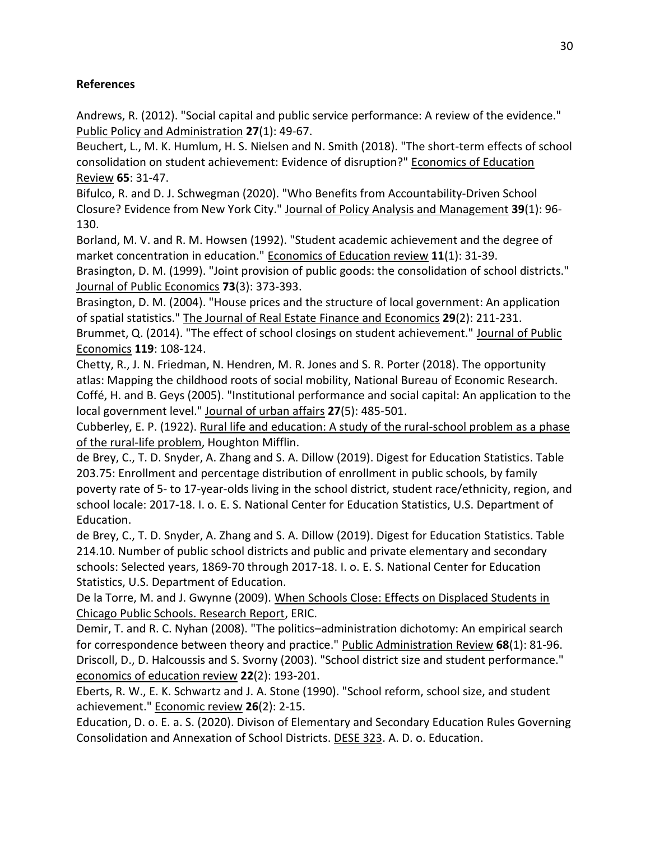# **References**

Andrews, R. (2012). "Social capital and public service performance: A review of the evidence." Public Policy and Administration **27**(1): 49-67.

Beuchert, L., M. K. Humlum, H. S. Nielsen and N. Smith (2018). "The short-term effects of school consolidation on student achievement: Evidence of disruption?" Economics of Education Review **65**: 31-47.

Bifulco, R. and D. J. Schwegman (2020). "Who Benefits from Accountability‐Driven School Closure? Evidence from New York City." Journal of Policy Analysis and Management **39**(1): 96- 130.

Borland, M. V. and R. M. Howsen (1992). "Student academic achievement and the degree of market concentration in education." Economics of Education review **11**(1): 31-39.

Brasington, D. M. (1999). "Joint provision of public goods: the consolidation of school districts." Journal of Public Economics **73**(3): 373-393.

Brasington, D. M. (2004). "House prices and the structure of local government: An application of spatial statistics." The Journal of Real Estate Finance and Economics **29**(2): 211-231.

Brummet, Q. (2014). "The effect of school closings on student achievement." Journal of Public Economics **119**: 108-124.

Chetty, R., J. N. Friedman, N. Hendren, M. R. Jones and S. R. Porter (2018). The opportunity atlas: Mapping the childhood roots of social mobility, National Bureau of Economic Research. Coffé, H. and B. Geys (2005). "Institutional performance and social capital: An application to the local government level." Journal of urban affairs **27**(5): 485-501.

Cubberley, E. P. (1922). Rural life and education: A study of the rural-school problem as a phase of the rural-life problem, Houghton Mifflin.

de Brey, C., T. D. Snyder, A. Zhang and S. A. Dillow (2019). Digest for Education Statistics. Table 203.75: Enrollment and percentage distribution of enrollment in public schools, by family poverty rate of 5- to 17-year-olds living in the school district, student race/ethnicity, region, and school locale: 2017-18. I. o. E. S. National Center for Education Statistics, U.S. Department of Education.

de Brey, C., T. D. Snyder, A. Zhang and S. A. Dillow (2019). Digest for Education Statistics. Table 214.10. Number of public school districts and public and private elementary and secondary schools: Selected years, 1869-70 through 2017-18. I. o. E. S. National Center for Education Statistics, U.S. Department of Education.

De la Torre, M. and J. Gwynne (2009). When Schools Close: Effects on Displaced Students in Chicago Public Schools. Research Report, ERIC.

Demir, T. and R. C. Nyhan (2008). "The politics–administration dichotomy: An empirical search for correspondence between theory and practice." Public Administration Review **68**(1): 81-96. Driscoll, D., D. Halcoussis and S. Svorny (2003). "School district size and student performance." economics of education review **22**(2): 193-201.

Eberts, R. W., E. K. Schwartz and J. A. Stone (1990). "School reform, school size, and student achievement." Economic review **26**(2): 2-15.

Education, D. o. E. a. S. (2020). Divison of Elementary and Secondary Education Rules Governing Consolidation and Annexation of School Districts. DESE 323. A. D. o. Education.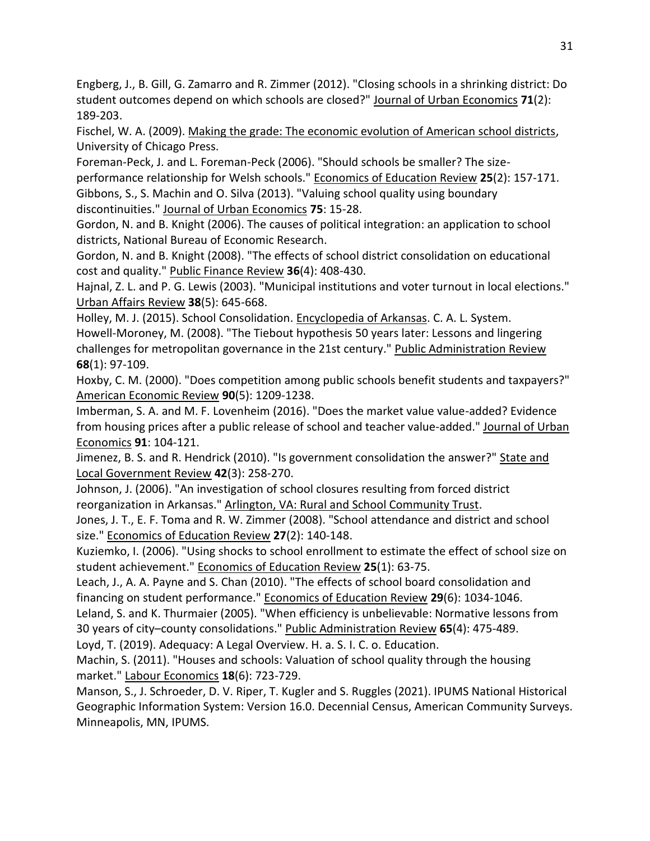Engberg, J., B. Gill, G. Zamarro and R. Zimmer (2012). "Closing schools in a shrinking district: Do student outcomes depend on which schools are closed?" Journal of Urban Economics **71**(2): 189-203.

Fischel, W. A. (2009). Making the grade: The economic evolution of American school districts, University of Chicago Press.

Foreman-Peck, J. and L. Foreman-Peck (2006). "Should schools be smaller? The sizeperformance relationship for Welsh schools." Economics of Education Review **25**(2): 157-171. Gibbons, S., S. Machin and O. Silva (2013). "Valuing school quality using boundary discontinuities." Journal of Urban Economics **75**: 15-28.

Gordon, N. and B. Knight (2006). The causes of political integration: an application to school districts, National Bureau of Economic Research.

Gordon, N. and B. Knight (2008). "The effects of school district consolidation on educational cost and quality." Public Finance Review **36**(4): 408-430.

Hajnal, Z. L. and P. G. Lewis (2003). "Municipal institutions and voter turnout in local elections." Urban Affairs Review **38**(5): 645-668.

Holley, M. J. (2015). School Consolidation. Encyclopedia of Arkansas. C. A. L. System. Howell‐Moroney, M. (2008). "The Tiebout hypothesis 50 years later: Lessons and lingering challenges for metropolitan governance in the 21st century." Public Administration Review **68**(1): 97-109.

Hoxby, C. M. (2000). "Does competition among public schools benefit students and taxpayers?" American Economic Review **90**(5): 1209-1238.

Imberman, S. A. and M. F. Lovenheim (2016). "Does the market value value-added? Evidence from housing prices after a public release of school and teacher value-added." Journal of Urban Economics **91**: 104-121.

Jimenez, B. S. and R. Hendrick (2010). "Is government consolidation the answer?" State and Local Government Review **42**(3): 258-270.

Johnson, J. (2006). "An investigation of school closures resulting from forced district reorganization in Arkansas." Arlington, VA: Rural and School Community Trust.

Jones, J. T., E. F. Toma and R. W. Zimmer (2008). "School attendance and district and school size." Economics of Education Review **27**(2): 140-148.

Kuziemko, I. (2006). "Using shocks to school enrollment to estimate the effect of school size on student achievement." Economics of Education Review **25**(1): 63-75.

Leach, J., A. A. Payne and S. Chan (2010). "The effects of school board consolidation and financing on student performance." Economics of Education Review **29**(6): 1034-1046.

Leland, S. and K. Thurmaier (2005). "When efficiency is unbelievable: Normative lessons from 30 years of city–county consolidations." Public Administration Review **65**(4): 475-489.

Loyd, T. (2019). Adequacy: A Legal Overview. H. a. S. I. C. o. Education.

Machin, S. (2011). "Houses and schools: Valuation of school quality through the housing market." Labour Economics **18**(6): 723-729.

Manson, S., J. Schroeder, D. V. Riper, T. Kugler and S. Ruggles (2021). IPUMS National Historical Geographic Information System: Version 16.0. Decennial Census, American Community Surveys. Minneapolis, MN, IPUMS.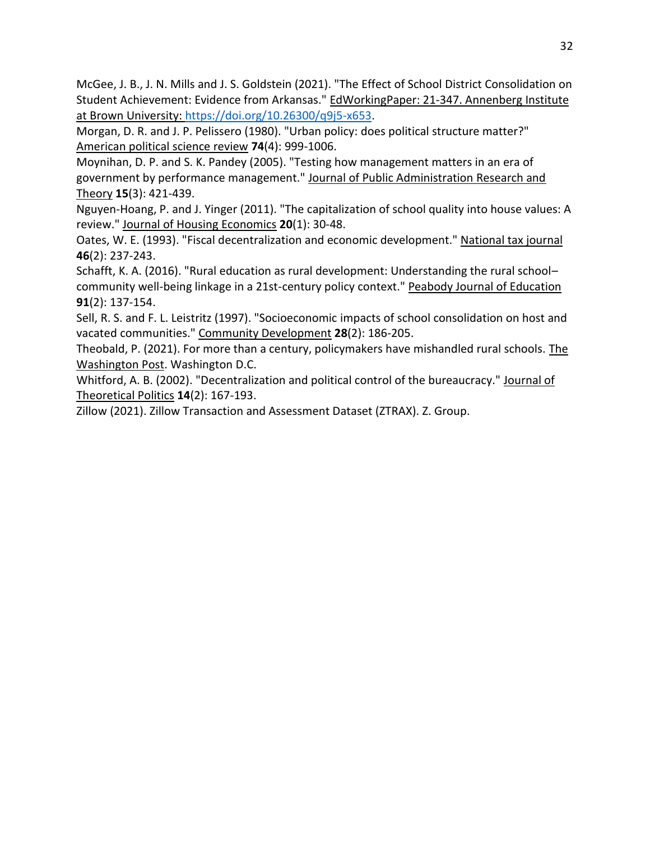McGee, J. B., J. N. Mills and J. S. Goldstein (2021). "The Effect of School District Consolidation on Student Achievement: Evidence from Arkansas." EdWorkingPaper: 21-347. Annenberg Institute at Brown University: [https://doi.org/10.26300/q9j5-x653.](https://doi.org/10.26300/q9j5-x653)

Morgan, D. R. and J. P. Pelissero (1980). "Urban policy: does political structure matter?" American political science review **74**(4): 999-1006.

Moynihan, D. P. and S. K. Pandey (2005). "Testing how management matters in an era of government by performance management." Journal of Public Administration Research and Theory **15**(3): 421-439.

Nguyen-Hoang, P. and J. Yinger (2011). "The capitalization of school quality into house values: A review." Journal of Housing Economics **20**(1): 30-48.

Oates, W. E. (1993). "Fiscal decentralization and economic development." National tax journal **46**(2): 237-243.

Schafft, K. A. (2016). "Rural education as rural development: Understanding the rural school– community well-being linkage in a 21st-century policy context." Peabody Journal of Education **91**(2): 137-154.

Sell, R. S. and F. L. Leistritz (1997). "Socioeconomic impacts of school consolidation on host and vacated communities." Community Development **28**(2): 186-205.

Theobald, P. (2021). For more than a century, policymakers have mishandled rural schools. The Washington Post. Washington D.C.

Whitford, A. B. (2002). "Decentralization and political control of the bureaucracy." Journal of Theoretical Politics **14**(2): 167-193.

Zillow (2021). Zillow Transaction and Assessment Dataset (ZTRAX). Z. Group.